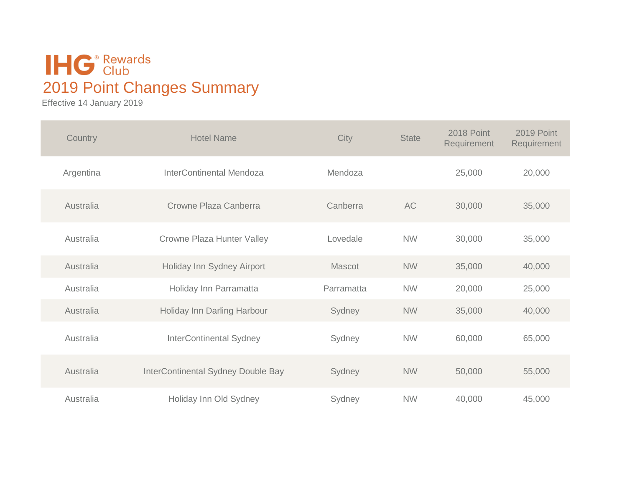## **IHG**<sup>®</sup> Rewards 2019 Point Changes Summary

Effective 14 January 2019

| Country   | <b>Hotel Name</b>                  | City       | <b>State</b> | 2018 Point<br>Requirement | 2019 Point<br>Requirement |
|-----------|------------------------------------|------------|--------------|---------------------------|---------------------------|
| Argentina | <b>InterContinental Mendoza</b>    | Mendoza    |              | 25,000                    | 20,000                    |
| Australia | Crowne Plaza Canberra              | Canberra   | AC           | 30,000                    | 35,000                    |
| Australia | <b>Crowne Plaza Hunter Valley</b>  | Lovedale   | <b>NW</b>    | 30,000                    | 35,000                    |
| Australia | Holiday Inn Sydney Airport         | Mascot     | <b>NW</b>    | 35,000                    | 40,000                    |
| Australia | Holiday Inn Parramatta             | Parramatta | <b>NW</b>    | 20,000                    | 25,000                    |
| Australia | Holiday Inn Darling Harbour        | Sydney     | <b>NW</b>    | 35,000                    | 40,000                    |
| Australia | <b>InterContinental Sydney</b>     | Sydney     | <b>NW</b>    | 60,000                    | 65,000                    |
| Australia | InterContinental Sydney Double Bay | Sydney     | <b>NW</b>    | 50,000                    | 55,000                    |
| Australia | Holiday Inn Old Sydney             | Sydney     | <b>NW</b>    | 40,000                    | 45,000                    |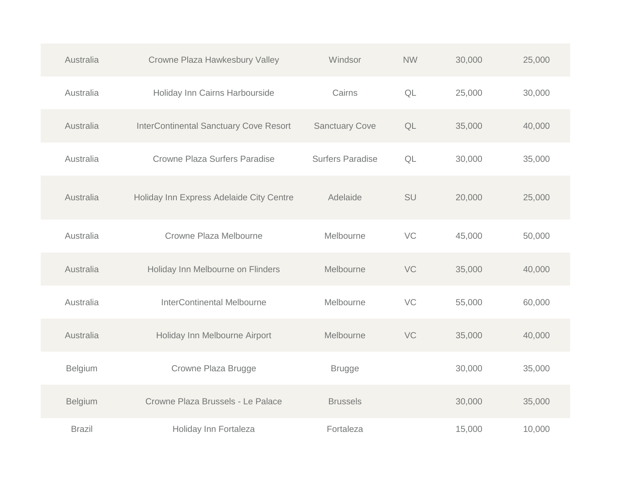| Australia     | Crowne Plaza Hawkesbury Valley                | Windsor                 | <b>NW</b> | 30,000 | 25,000 |
|---------------|-----------------------------------------------|-------------------------|-----------|--------|--------|
| Australia     | Holiday Inn Cairns Harbourside                | Cairns                  | QL        | 25,000 | 30,000 |
| Australia     | <b>InterContinental Sanctuary Cove Resort</b> | <b>Sanctuary Cove</b>   | QL        | 35,000 | 40,000 |
| Australia     | <b>Crowne Plaza Surfers Paradise</b>          | <b>Surfers Paradise</b> | QL        | 30,000 | 35,000 |
| Australia     | Holiday Inn Express Adelaide City Centre      | Adelaide                | SU        | 20,000 | 25,000 |
| Australia     | Crowne Plaza Melbourne                        | Melbourne               | VC        | 45,000 | 50,000 |
| Australia     | Holiday Inn Melbourne on Flinders             | Melbourne               | VC        | 35,000 | 40,000 |
| Australia     | <b>InterContinental Melbourne</b>             | Melbourne               | VC        | 55,000 | 60,000 |
| Australia     | Holiday Inn Melbourne Airport                 | Melbourne               | VC        | 35,000 | 40,000 |
| Belgium       | Crowne Plaza Brugge                           | <b>Brugge</b>           |           | 30,000 | 35,000 |
| Belgium       | Crowne Plaza Brussels - Le Palace             | <b>Brussels</b>         |           | 30,000 | 35,000 |
| <b>Brazil</b> | Holiday Inn Fortaleza                         | Fortaleza               |           | 15,000 | 10,000 |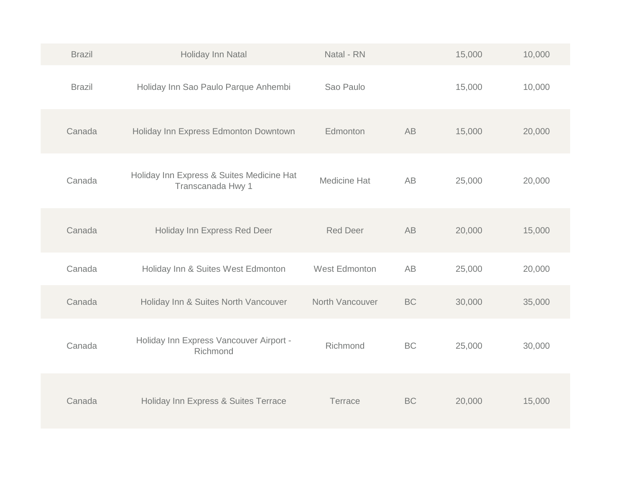| <b>Brazil</b> | Holiday Inn Natal                                              | Natal - RN      |           | 15,000 | 10,000 |
|---------------|----------------------------------------------------------------|-----------------|-----------|--------|--------|
| <b>Brazil</b> | Holiday Inn Sao Paulo Parque Anhembi                           | Sao Paulo       |           | 15,000 | 10,000 |
| Canada        | Holiday Inn Express Edmonton Downtown                          | Edmonton        | <b>AB</b> | 15,000 | 20,000 |
| Canada        | Holiday Inn Express & Suites Medicine Hat<br>Transcanada Hwy 1 | Medicine Hat    | <b>AB</b> | 25,000 | 20,000 |
| Canada        | Holiday Inn Express Red Deer                                   | <b>Red Deer</b> | <b>AB</b> | 20,000 | 15,000 |
| Canada        | Holiday Inn & Suites West Edmonton                             | West Edmonton   | AB        | 25,000 | 20,000 |
| Canada        | Holiday Inn & Suites North Vancouver                           | North Vancouver | <b>BC</b> | 30,000 | 35,000 |
| Canada        | Holiday Inn Express Vancouver Airport -<br>Richmond            | Richmond        | <b>BC</b> | 25,000 | 30,000 |
| Canada        | Holiday Inn Express & Suites Terrace                           | Terrace         | <b>BC</b> | 20,000 | 15,000 |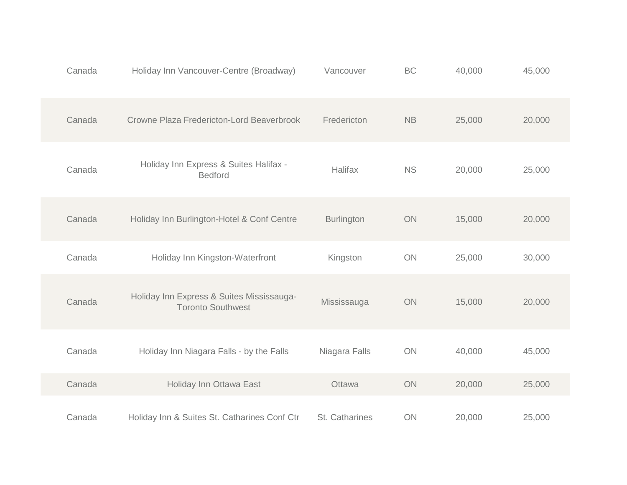| Canada | Holiday Inn Vancouver-Centre (Broadway)                               | Vancouver         | BC            | 40,000 | 45,000 |
|--------|-----------------------------------------------------------------------|-------------------|---------------|--------|--------|
| Canada | Crowne Plaza Fredericton-Lord Beaverbrook                             | Fredericton       | $\mathsf{NB}$ | 25,000 | 20,000 |
| Canada | Holiday Inn Express & Suites Halifax -<br><b>Bedford</b>              | Halifax           | <b>NS</b>     | 20,000 | 25,000 |
| Canada | Holiday Inn Burlington-Hotel & Conf Centre                            | <b>Burlington</b> | ON            | 15,000 | 20,000 |
| Canada | Holiday Inn Kingston-Waterfront                                       | Kingston          | ON            | 25,000 | 30,000 |
| Canada | Holiday Inn Express & Suites Mississauga-<br><b>Toronto Southwest</b> | Mississauga       | ON            | 15,000 | 20,000 |
| Canada | Holiday Inn Niagara Falls - by the Falls                              | Niagara Falls     | ON            | 40,000 | 45,000 |
| Canada | Holiday Inn Ottawa East                                               | Ottawa            | ON            | 20,000 | 25,000 |
| Canada | Holiday Inn & Suites St. Catharines Conf Ctr                          | St. Catharines    | ON            | 20,000 | 25,000 |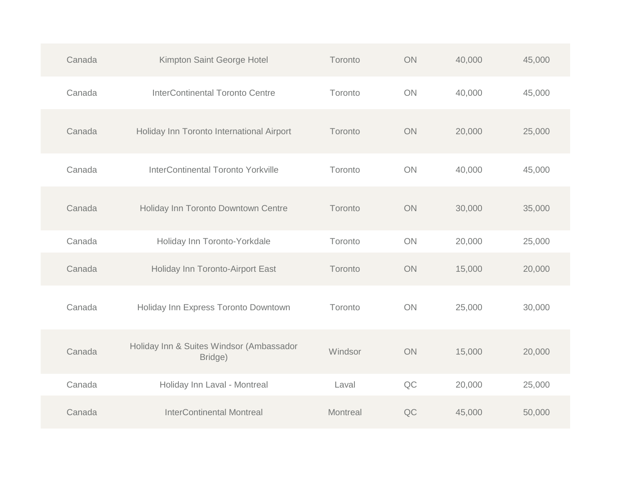| Canada | Kimpton Saint George Hotel                          | Toronto  | ON | 40,000 | 45,000 |
|--------|-----------------------------------------------------|----------|----|--------|--------|
| Canada | <b>InterContinental Toronto Centre</b>              | Toronto  | ON | 40,000 | 45,000 |
| Canada | Holiday Inn Toronto International Airport           | Toronto  | ON | 20,000 | 25,000 |
| Canada | InterContinental Toronto Yorkville                  | Toronto  | ON | 40,000 | 45,000 |
| Canada | Holiday Inn Toronto Downtown Centre                 | Toronto  | ON | 30,000 | 35,000 |
| Canada | Holiday Inn Toronto-Yorkdale                        | Toronto  | ON | 20,000 | 25,000 |
| Canada | Holiday Inn Toronto-Airport East                    | Toronto  | ON | 15,000 | 20,000 |
| Canada | Holiday Inn Express Toronto Downtown                | Toronto  | ON | 25,000 | 30,000 |
| Canada | Holiday Inn & Suites Windsor (Ambassador<br>Bridge) | Windsor  | ON | 15,000 | 20,000 |
| Canada | Holiday Inn Laval - Montreal                        | Laval    | QC | 20,000 | 25,000 |
| Canada | <b>InterContinental Montreal</b>                    | Montreal | QC | 45,000 | 50,000 |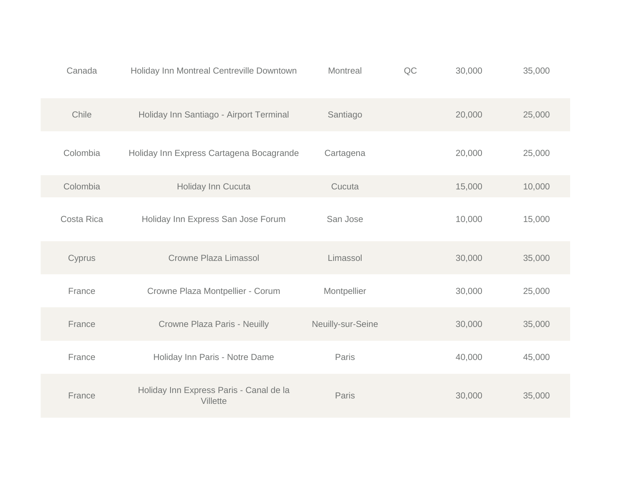| Canada     | Holiday Inn Montreal Centreville Downtown           | Montreal          | QC | 30,000 | 35,000 |
|------------|-----------------------------------------------------|-------------------|----|--------|--------|
| Chile      | Holiday Inn Santiago - Airport Terminal             | Santiago          |    | 20,000 | 25,000 |
| Colombia   | Holiday Inn Express Cartagena Bocagrande            | Cartagena         |    | 20,000 | 25,000 |
| Colombia   | Holiday Inn Cucuta                                  | Cucuta            |    | 15,000 | 10,000 |
| Costa Rica | Holiday Inn Express San Jose Forum                  | San Jose          |    | 10,000 | 15,000 |
| Cyprus     | Crowne Plaza Limassol                               | Limassol          |    | 30,000 | 35,000 |
| France     | Crowne Plaza Montpellier - Corum                    | Montpellier       |    | 30,000 | 25,000 |
| France     | Crowne Plaza Paris - Neuilly                        | Neuilly-sur-Seine |    | 30,000 | 35,000 |
| France     | Holiday Inn Paris - Notre Dame                      | Paris             |    | 40,000 | 45,000 |
| France     | Holiday Inn Express Paris - Canal de la<br>Villette | Paris             |    | 30,000 | 35,000 |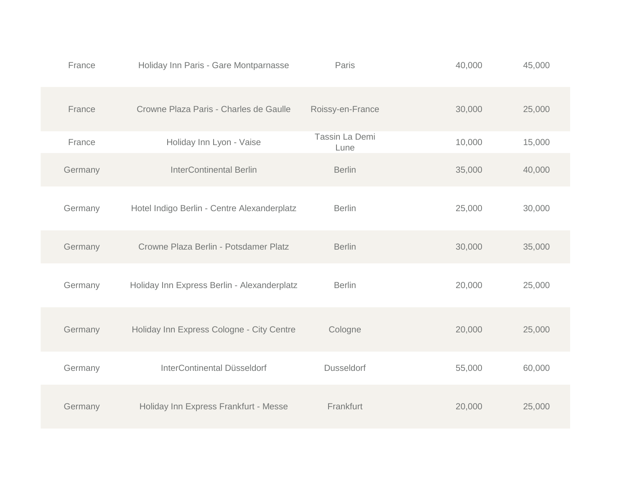| France  | Holiday Inn Paris - Gare Montparnasse       | Paris                  | 40,000 | 45,000 |
|---------|---------------------------------------------|------------------------|--------|--------|
| France  | Crowne Plaza Paris - Charles de Gaulle      | Roissy-en-France       | 30,000 | 25,000 |
| France  | Holiday Inn Lyon - Vaise                    | Tassin La Demi<br>Lune | 10,000 | 15,000 |
| Germany | <b>InterContinental Berlin</b>              | <b>Berlin</b>          | 35,000 | 40,000 |
| Germany | Hotel Indigo Berlin - Centre Alexanderplatz | <b>Berlin</b>          | 25,000 | 30,000 |
| Germany | Crowne Plaza Berlin - Potsdamer Platz       | <b>Berlin</b>          | 30,000 | 35,000 |
| Germany | Holiday Inn Express Berlin - Alexanderplatz | <b>Berlin</b>          | 20,000 | 25,000 |
| Germany | Holiday Inn Express Cologne - City Centre   | Cologne                | 20,000 | 25,000 |
| Germany | InterContinental Düsseldorf                 | <b>Dusseldorf</b>      | 55,000 | 60,000 |
| Germany | Holiday Inn Express Frankfurt - Messe       | Frankfurt              | 20,000 | 25,000 |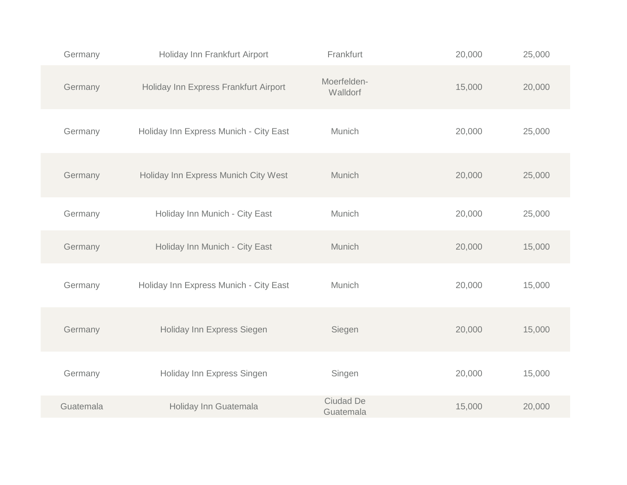| Germany   | Holiday Inn Frankfurt Airport          | Frankfurt               | 20,000 | 25,000 |
|-----------|----------------------------------------|-------------------------|--------|--------|
| Germany   | Holiday Inn Express Frankfurt Airport  | Moerfelden-<br>Walldorf | 15,000 | 20,000 |
| Germany   | Holiday Inn Express Munich - City East | Munich                  | 20,000 | 25,000 |
| Germany   | Holiday Inn Express Munich City West   | Munich                  | 20,000 | 25,000 |
| Germany   | Holiday Inn Munich - City East         | Munich                  | 20,000 | 25,000 |
| Germany   | Holiday Inn Munich - City East         | Munich                  | 20,000 | 15,000 |
| Germany   | Holiday Inn Express Munich - City East | Munich                  | 20,000 | 15,000 |
| Germany   | Holiday Inn Express Siegen             | Siegen                  | 20,000 | 15,000 |
| Germany   | Holiday Inn Express Singen             | Singen                  | 20,000 | 15,000 |
| Guatemala | Holiday Inn Guatemala                  | Ciudad De<br>Guatemala  | 15,000 | 20,000 |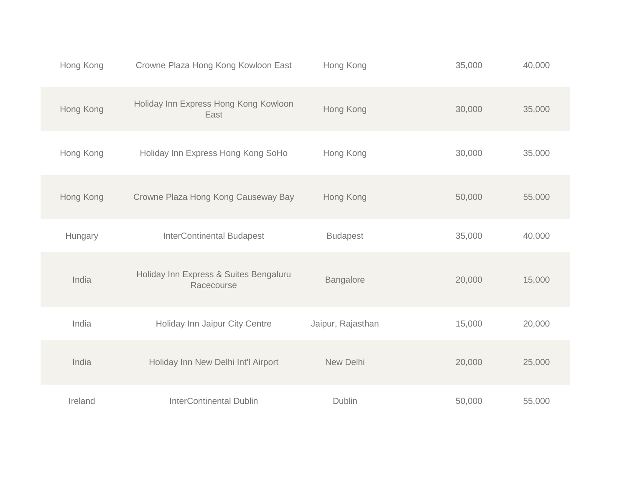| Hong Kong | Crowne Plaza Hong Kong Kowloon East                  | Hong Kong         | 35,000 | 40,000 |
|-----------|------------------------------------------------------|-------------------|--------|--------|
| Hong Kong | Holiday Inn Express Hong Kong Kowloon<br>East        | Hong Kong         | 30,000 | 35,000 |
| Hong Kong | Holiday Inn Express Hong Kong SoHo                   | Hong Kong         | 30,000 | 35,000 |
| Hong Kong | Crowne Plaza Hong Kong Causeway Bay                  | Hong Kong         | 50,000 | 55,000 |
| Hungary   | <b>InterContinental Budapest</b>                     | <b>Budapest</b>   | 35,000 | 40,000 |
| India     | Holiday Inn Express & Suites Bengaluru<br>Racecourse | Bangalore         | 20,000 | 15,000 |
| India     | Holiday Inn Jaipur City Centre                       | Jaipur, Rajasthan | 15,000 | 20,000 |
| India     | Holiday Inn New Delhi Int'l Airport                  | New Delhi         | 20,000 | 25,000 |
| Ireland   | <b>InterContinental Dublin</b>                       | Dublin            | 50,000 | 55,000 |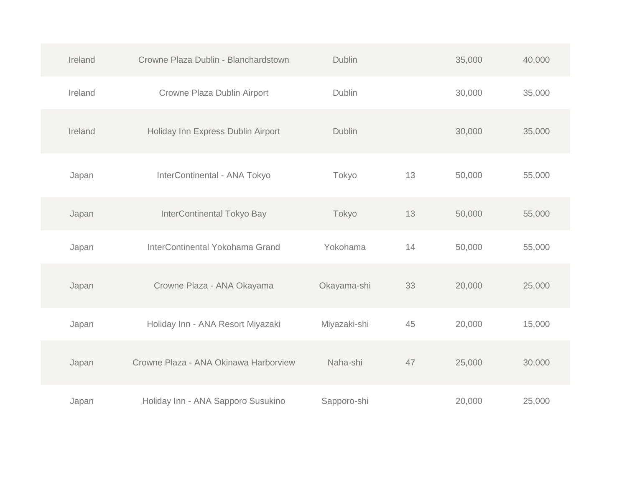| Ireland | Crowne Plaza Dublin - Blanchardstown  | <b>Dublin</b> |    | 35,000 | 40,000 |
|---------|---------------------------------------|---------------|----|--------|--------|
| Ireland | Crowne Plaza Dublin Airport           | Dublin        |    | 30,000 | 35,000 |
| Ireland | Holiday Inn Express Dublin Airport    | Dublin        |    | 30,000 | 35,000 |
| Japan   | InterContinental - ANA Tokyo          | Tokyo         | 13 | 50,000 | 55,000 |
| Japan   | InterContinental Tokyo Bay            | Tokyo         | 13 | 50,000 | 55,000 |
| Japan   | InterContinental Yokohama Grand       | Yokohama      | 14 | 50,000 | 55,000 |
| Japan   | Crowne Plaza - ANA Okayama            | Okayama-shi   | 33 | 20,000 | 25,000 |
| Japan   | Holiday Inn - ANA Resort Miyazaki     | Miyazaki-shi  | 45 | 20,000 | 15,000 |
| Japan   | Crowne Plaza - ANA Okinawa Harborview | Naha-shi      | 47 | 25,000 | 30,000 |
| Japan   | Holiday Inn - ANA Sapporo Susukino    | Sapporo-shi   |    | 20,000 | 25,000 |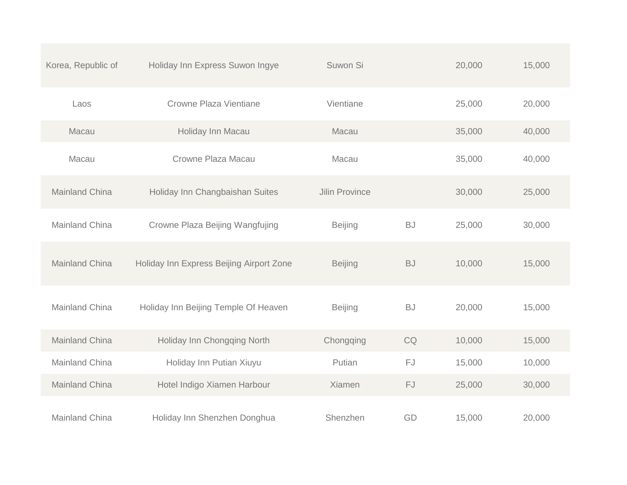| Korea, Republic of    | Holiday Inn Express Suwon Ingye          | Suwon Si              |           | 20,000 | 15,000 |
|-----------------------|------------------------------------------|-----------------------|-----------|--------|--------|
| Laos                  | Crowne Plaza Vientiane                   | Vientiane             |           | 25,000 | 20,000 |
| Macau                 | Holiday Inn Macau                        | Macau                 |           | 35,000 | 40,000 |
| Macau                 | Crowne Plaza Macau                       | Macau                 |           | 35,000 | 40,000 |
| <b>Mainland China</b> | Holiday Inn Changbaishan Suites          | <b>Jilin Province</b> |           | 30,000 | 25,000 |
| <b>Mainland China</b> | Crowne Plaza Beijing Wangfujing          | <b>Beijing</b>        | <b>BJ</b> | 25,000 | 30,000 |
| <b>Mainland China</b> | Holiday Inn Express Beijing Airport Zone | <b>Beijing</b>        | <b>BJ</b> | 10,000 | 15,000 |
| <b>Mainland China</b> | Holiday Inn Beijing Temple Of Heaven     | <b>Beijing</b>        | <b>BJ</b> | 20,000 | 15,000 |
| Mainland China        | Holiday Inn Chongqing North              | Chongqing             | CQ        | 10,000 | 15,000 |
| Mainland China        | Holiday Inn Putian Xiuyu                 | Putian                | FJ        | 15,000 | 10,000 |
| <b>Mainland China</b> | Hotel Indigo Xiamen Harbour              | Xiamen                | FJ        | 25,000 | 30,000 |
| Mainland China        | Holiday Inn Shenzhen Donghua             | Shenzhen              | GD        | 15,000 | 20,000 |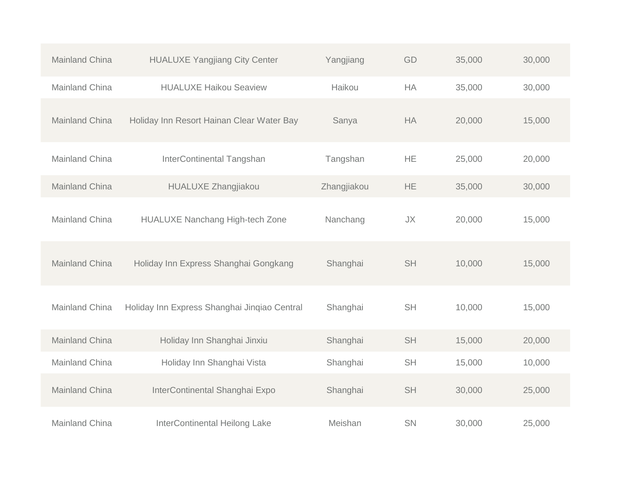| <b>Mainland China</b> | <b>HUALUXE Yangjiang City Center</b>         | Yangjiang   | GD        | 35,000 | 30,000 |
|-----------------------|----------------------------------------------|-------------|-----------|--------|--------|
| Mainland China        | <b>HUALUXE Haikou Seaview</b>                | Haikou      | <b>HA</b> | 35,000 | 30,000 |
| <b>Mainland China</b> | Holiday Inn Resort Hainan Clear Water Bay    | Sanya       | <b>HA</b> | 20,000 | 15,000 |
| Mainland China        | InterContinental Tangshan                    | Tangshan    | <b>HE</b> | 25,000 | 20,000 |
| Mainland China        | <b>HUALUXE Zhangjiakou</b>                   | Zhangjiakou | HE.       | 35,000 | 30,000 |
| Mainland China        | <b>HUALUXE Nanchang High-tech Zone</b>       | Nanchang    | <b>JX</b> | 20,000 | 15,000 |
| Mainland China        | Holiday Inn Express Shanghai Gongkang        | Shanghai    | <b>SH</b> | 10,000 | 15,000 |
| Mainland China        | Holiday Inn Express Shanghai Jinqiao Central | Shanghai    | <b>SH</b> | 10,000 | 15,000 |
| Mainland China        | Holiday Inn Shanghai Jinxiu                  | Shanghai    | <b>SH</b> | 15,000 | 20,000 |
| Mainland China        | Holiday Inn Shanghai Vista                   | Shanghai    | <b>SH</b> | 15,000 | 10,000 |
| Mainland China        | InterContinental Shanghai Expo               | Shanghai    | <b>SH</b> | 30,000 | 25,000 |
| <b>Mainland China</b> | <b>InterContinental Heilong Lake</b>         | Meishan     | SN        | 30,000 | 25,000 |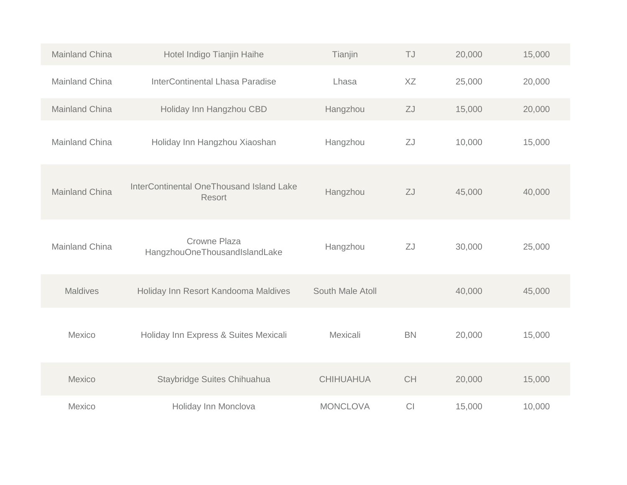| Mainland China        | Hotel Indigo Tianjin Haihe                         | Tianjin          | TJ        | 20,000 | 15,000 |  |
|-----------------------|----------------------------------------------------|------------------|-----------|--------|--------|--|
| Mainland China        | <b>InterContinental Lhasa Paradise</b>             | Lhasa            | XZ        | 25,000 | 20,000 |  |
| <b>Mainland China</b> | Holiday Inn Hangzhou CBD                           | Hangzhou         | ZJ        | 15,000 | 20,000 |  |
| Mainland China        | Holiday Inn Hangzhou Xiaoshan                      | Hangzhou         | ZJ        | 10,000 | 15,000 |  |
| <b>Mainland China</b> | InterContinental OneThousand Island Lake<br>Resort | Hangzhou         | ZJ        | 45,000 | 40,000 |  |
| <b>Mainland China</b> | Crowne Plaza<br>HangzhouOneThousandIslandLake      | Hangzhou         | ZJ        | 30,000 | 25,000 |  |
| <b>Maldives</b>       | Holiday Inn Resort Kandooma Maldives               | South Male Atoll |           | 40,000 | 45,000 |  |
| Mexico                | Holiday Inn Express & Suites Mexicali              | Mexicali         | <b>BN</b> | 20,000 | 15,000 |  |
| Mexico                | Staybridge Suites Chihuahua                        | <b>CHIHUAHUA</b> | CH        | 20,000 | 15,000 |  |
| Mexico                | Holiday Inn Monclova                               | <b>MONCLOVA</b>  | CI        | 15,000 | 10,000 |  |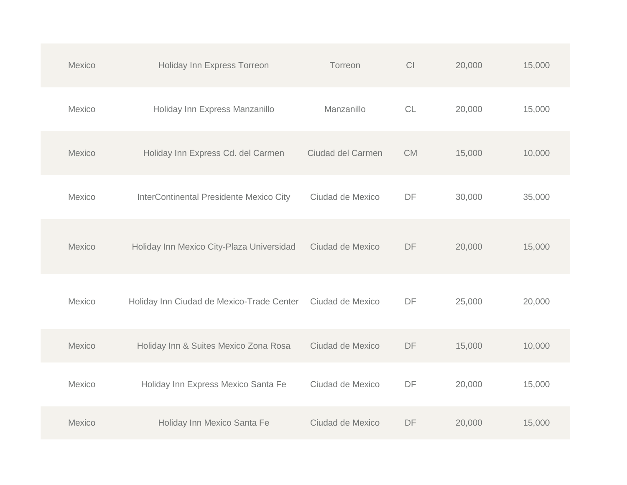| Mexico | Holiday Inn Express Torreon               | Torreon           | CI        | 20,000 | 15,000 |
|--------|-------------------------------------------|-------------------|-----------|--------|--------|
| Mexico | Holiday Inn Express Manzanillo            | Manzanillo        | CL        | 20,000 | 15,000 |
| Mexico | Holiday Inn Express Cd. del Carmen        | Ciudad del Carmen | <b>CM</b> | 15,000 | 10,000 |
| Mexico | InterContinental Presidente Mexico City   | Ciudad de Mexico  | DF        | 30,000 | 35,000 |
| Mexico | Holiday Inn Mexico City-Plaza Universidad | Ciudad de Mexico  | DF        | 20,000 | 15,000 |
| Mexico | Holiday Inn Ciudad de Mexico-Trade Center | Ciudad de Mexico  | DF        | 25,000 | 20,000 |
| Mexico | Holiday Inn & Suites Mexico Zona Rosa     | Ciudad de Mexico  | DF        | 15,000 | 10,000 |
| Mexico | Holiday Inn Express Mexico Santa Fe       | Ciudad de Mexico  | DF        | 20,000 | 15,000 |
| Mexico | Holiday Inn Mexico Santa Fe               | Ciudad de Mexico  | DF        | 20,000 | 15,000 |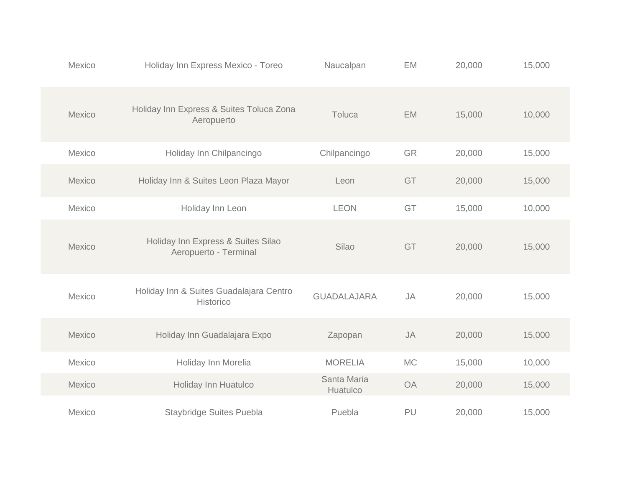| Mexico        | Holiday Inn Express Mexico - Toreo                          | Naucalpan               | EM        | 20,000 | 15,000 |
|---------------|-------------------------------------------------------------|-------------------------|-----------|--------|--------|
| Mexico        | Holiday Inn Express & Suites Toluca Zona<br>Aeropuerto      | Toluca                  | <b>EM</b> | 15,000 | 10,000 |
| Mexico        | Holiday Inn Chilpancingo                                    | Chilpancingo            | GR        | 20,000 | 15,000 |
| <b>Mexico</b> | Holiday Inn & Suites Leon Plaza Mayor                       | Leon                    | GT        | 20,000 | 15,000 |
| Mexico        | Holiday Inn Leon                                            | <b>LEON</b>             | GT        | 15,000 | 10,000 |
| Mexico        | Holiday Inn Express & Suites Silao<br>Aeropuerto - Terminal | Silao                   | GT        | 20,000 | 15,000 |
| Mexico        | Holiday Inn & Suites Guadalajara Centro<br>Historico        | <b>GUADALAJARA</b>      | <b>JA</b> | 20,000 | 15,000 |
| Mexico        | Holiday Inn Guadalajara Expo                                | Zapopan                 | <b>JA</b> | 20,000 | 15,000 |
| Mexico        | Holiday Inn Morelia                                         | <b>MORELIA</b>          | <b>MC</b> | 15,000 | 10,000 |
| Mexico        | Holiday Inn Huatulco                                        | Santa Maria<br>Huatulco | <b>OA</b> | 20,000 | 15,000 |
| Mexico        | Staybridge Suites Puebla                                    | Puebla                  | PU        | 20,000 | 15,000 |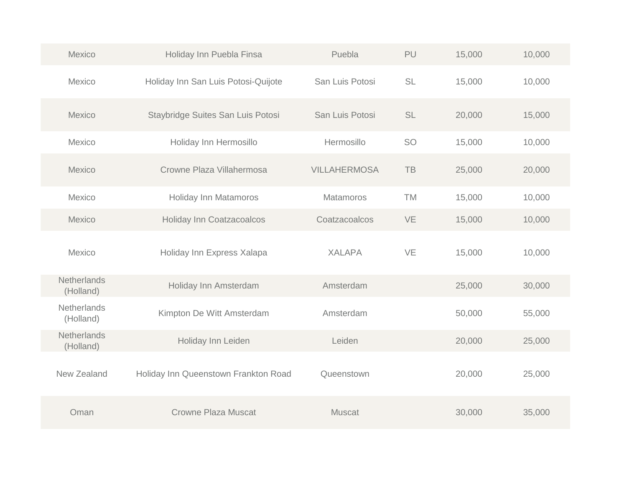| Mexico                          | Holiday Inn Puebla Finsa             | Puebla              | PU        | 15,000 | 10,000 |
|---------------------------------|--------------------------------------|---------------------|-----------|--------|--------|
| Mexico                          | Holiday Inn San Luis Potosi-Quijote  | San Luis Potosi     | <b>SL</b> | 15,000 | 10,000 |
| Mexico                          | Staybridge Suites San Luis Potosi    | San Luis Potosi     | <b>SL</b> | 20,000 | 15,000 |
| Mexico                          | Holiday Inn Hermosillo               | Hermosillo          | <b>SO</b> | 15,000 | 10,000 |
| Mexico                          | Crowne Plaza Villahermosa            | <b>VILLAHERMOSA</b> | TB        | 25,000 | 20,000 |
| Mexico                          | <b>Holiday Inn Matamoros</b>         | <b>Matamoros</b>    | <b>TM</b> | 15,000 | 10,000 |
| Mexico                          | <b>Holiday Inn Coatzacoalcos</b>     | Coatzacoalcos       | VE        | 15,000 | 10,000 |
| Mexico                          | Holiday Inn Express Xalapa           | <b>XALAPA</b>       | VE        | 15,000 | 10,000 |
| Netherlands<br>(Holland)        | Holiday Inn Amsterdam                | Amsterdam           |           | 25,000 | 30,000 |
| <b>Netherlands</b><br>(Holland) | Kimpton De Witt Amsterdam            | Amsterdam           |           | 50,000 | 55,000 |
| Netherlands<br>(Holland)        | Holiday Inn Leiden                   | Leiden              |           | 20,000 | 25,000 |
| New Zealand                     | Holiday Inn Queenstown Frankton Road | Queenstown          |           | 20,000 | 25,000 |
| Oman                            | Crowne Plaza Muscat                  | <b>Muscat</b>       |           | 30,000 | 35,000 |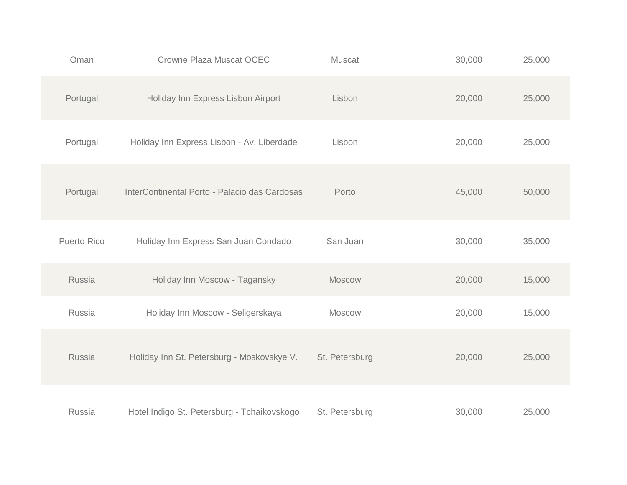| Oman               | <b>Crowne Plaza Muscat OCEC</b>               | <b>Muscat</b>  | 30,000 | 25,000 |
|--------------------|-----------------------------------------------|----------------|--------|--------|
| Portugal           | Holiday Inn Express Lisbon Airport            | Lisbon         | 20,000 | 25,000 |
| Portugal           | Holiday Inn Express Lisbon - Av. Liberdade    | Lisbon         | 20,000 | 25,000 |
| Portugal           | InterContinental Porto - Palacio das Cardosas | Porto          | 45,000 | 50,000 |
| <b>Puerto Rico</b> | Holiday Inn Express San Juan Condado          | San Juan       | 30,000 | 35,000 |
| Russia             | Holiday Inn Moscow - Tagansky                 | Moscow         | 20,000 | 15,000 |
| Russia             | Holiday Inn Moscow - Seligerskaya             | Moscow         | 20,000 | 15,000 |
| <b>Russia</b>      | Holiday Inn St. Petersburg - Moskovskye V.    | St. Petersburg | 20,000 | 25,000 |
| Russia             | Hotel Indigo St. Petersburg - Tchaikovskogo   | St. Petersburg | 30,000 | 25,000 |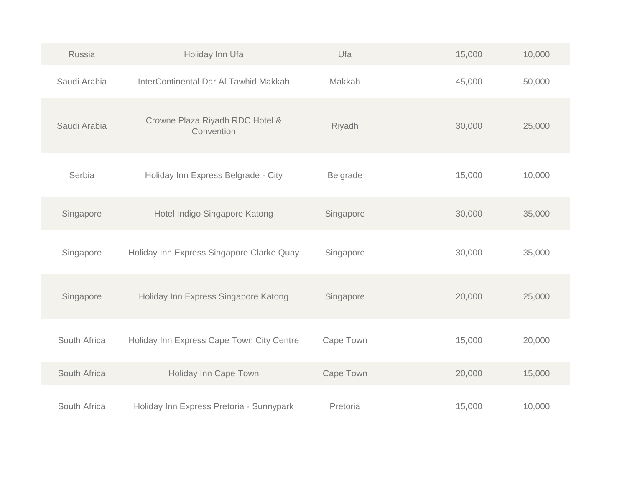| Russia       | Holiday Inn Ufa                               | Ufa       | 15,000 | 10,000 |
|--------------|-----------------------------------------------|-----------|--------|--------|
| Saudi Arabia | InterContinental Dar Al Tawhid Makkah         | Makkah    | 45,000 | 50,000 |
| Saudi Arabia | Crowne Plaza Riyadh RDC Hotel &<br>Convention | Riyadh    | 30,000 | 25,000 |
| Serbia       | Holiday Inn Express Belgrade - City           | Belgrade  | 15,000 | 10,000 |
| Singapore    | Hotel Indigo Singapore Katong                 | Singapore | 30,000 | 35,000 |
| Singapore    | Holiday Inn Express Singapore Clarke Quay     | Singapore | 30,000 | 35,000 |
| Singapore    | Holiday Inn Express Singapore Katong          | Singapore | 20,000 | 25,000 |
| South Africa | Holiday Inn Express Cape Town City Centre     | Cape Town | 15,000 | 20,000 |
| South Africa | Holiday Inn Cape Town                         | Cape Town | 20,000 | 15,000 |
| South Africa | Holiday Inn Express Pretoria - Sunnypark      | Pretoria  | 15,000 | 10,000 |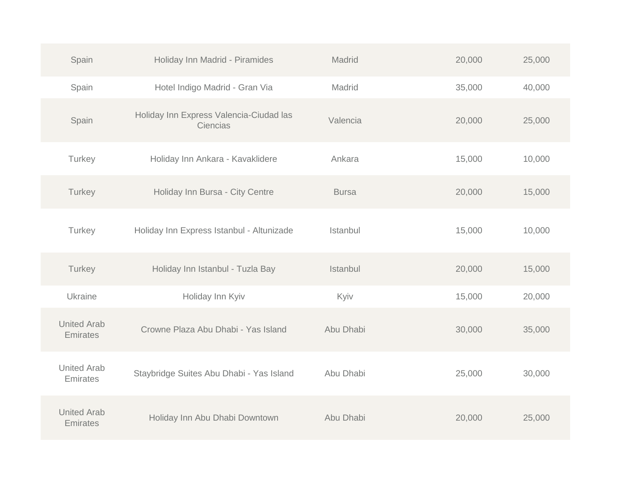| Spain                          | Holiday Inn Madrid - Piramides                      | Madrid       | 20,000 | 25,000 |
|--------------------------------|-----------------------------------------------------|--------------|--------|--------|
| Spain                          | Hotel Indigo Madrid - Gran Via                      | Madrid       | 35,000 | 40,000 |
| Spain                          | Holiday Inn Express Valencia-Ciudad las<br>Ciencias | Valencia     | 20,000 | 25,000 |
| Turkey                         | Holiday Inn Ankara - Kavaklidere                    | Ankara       | 15,000 | 10,000 |
| Turkey                         | Holiday Inn Bursa - City Centre                     | <b>Bursa</b> | 20,000 | 15,000 |
| Turkey                         | Holiday Inn Express Istanbul - Altunizade           | Istanbul     | 15,000 | 10,000 |
| Turkey                         | Holiday Inn Istanbul - Tuzla Bay                    | Istanbul     | 20,000 | 15,000 |
| Ukraine                        | Holiday Inn Kyiv                                    | Kyiv         | 15,000 | 20,000 |
| <b>United Arab</b><br>Emirates | Crowne Plaza Abu Dhabi - Yas Island                 | Abu Dhabi    | 30,000 | 35,000 |
| <b>United Arab</b><br>Emirates | Staybridge Suites Abu Dhabi - Yas Island            | Abu Dhabi    | 25,000 | 30,000 |
| <b>United Arab</b><br>Emirates | Holiday Inn Abu Dhabi Downtown                      | Abu Dhabi    | 20,000 | 25,000 |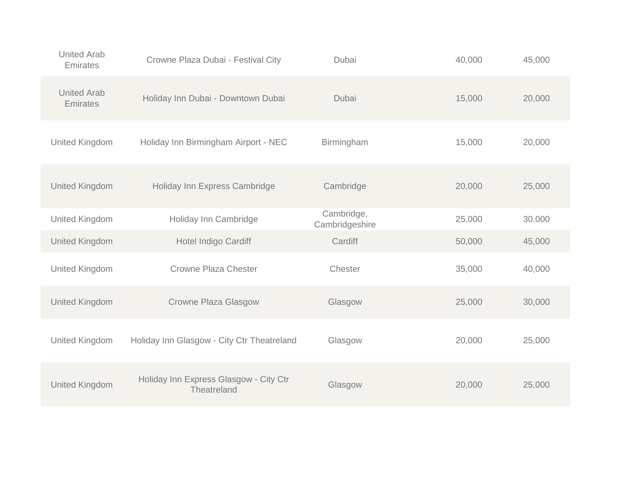| <b>United Arab</b><br>Emirates | Crowne Plaza Dubai - Festival City                    | Dubai                        | 40,000 | 45,000 |
|--------------------------------|-------------------------------------------------------|------------------------------|--------|--------|
| <b>United Arab</b><br>Emirates | Holiday Inn Dubai - Downtown Dubai                    | Dubai                        | 15,000 | 20,000 |
| <b>United Kingdom</b>          | Holiday Inn Birmingham Airport - NEC                  | Birmingham                   | 15,000 | 20,000 |
| <b>United Kingdom</b>          | Holiday Inn Express Cambridge                         | Cambridge                    | 20,000 | 25,000 |
| <b>United Kingdom</b>          | Holiday Inn Cambridge                                 | Cambridge,<br>Cambridgeshire | 25,000 | 30,000 |
| <b>United Kingdom</b>          | Hotel Indigo Cardiff                                  | Cardiff                      | 50,000 | 45,000 |
| <b>United Kingdom</b>          | <b>Crowne Plaza Chester</b>                           | Chester                      | 35,000 | 40,000 |
| <b>United Kingdom</b>          | Crowne Plaza Glasgow                                  | Glasgow                      | 25,000 | 30,000 |
| <b>United Kingdom</b>          | Holiday Inn Glasgow - City Ctr Theatreland            | Glasgow                      | 20,000 | 25,000 |
| <b>United Kingdom</b>          | Holiday Inn Express Glasgow - City Ctr<br>Theatreland | Glasgow                      | 20,000 | 25,000 |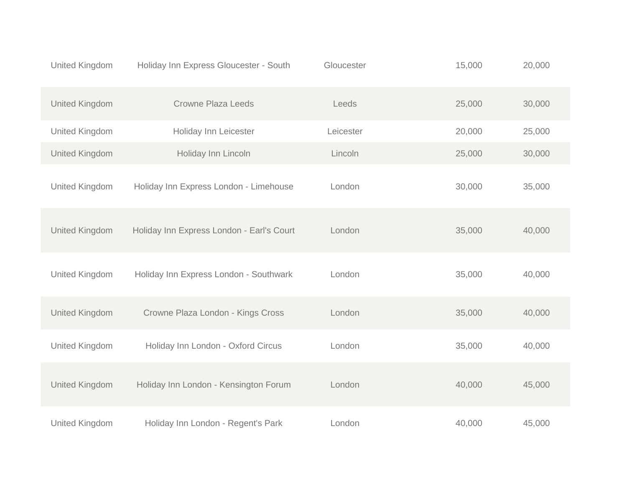| <b>United Kingdom</b> | Holiday Inn Express Gloucester - South    | Gloucester | 15,000 | 20,000 |
|-----------------------|-------------------------------------------|------------|--------|--------|
| <b>United Kingdom</b> | <b>Crowne Plaza Leeds</b>                 | Leeds      | 25,000 | 30,000 |
| <b>United Kingdom</b> | Holiday Inn Leicester                     | Leicester  | 20,000 | 25,000 |
| <b>United Kingdom</b> | Holiday Inn Lincoln                       | Lincoln    | 25,000 | 30,000 |
| United Kingdom        | Holiday Inn Express London - Limehouse    | London     | 30,000 | 35,000 |
| <b>United Kingdom</b> | Holiday Inn Express London - Earl's Court | London     | 35,000 | 40,000 |
| <b>United Kingdom</b> | Holiday Inn Express London - Southwark    | London     | 35,000 | 40,000 |
| <b>United Kingdom</b> | Crowne Plaza London - Kings Cross         | London     | 35,000 | 40,000 |
| United Kingdom        | Holiday Inn London - Oxford Circus        | London     | 35,000 | 40,000 |
| <b>United Kingdom</b> | Holiday Inn London - Kensington Forum     | London     | 40,000 | 45,000 |
| <b>United Kingdom</b> | Holiday Inn London - Regent's Park        | London     | 40,000 | 45,000 |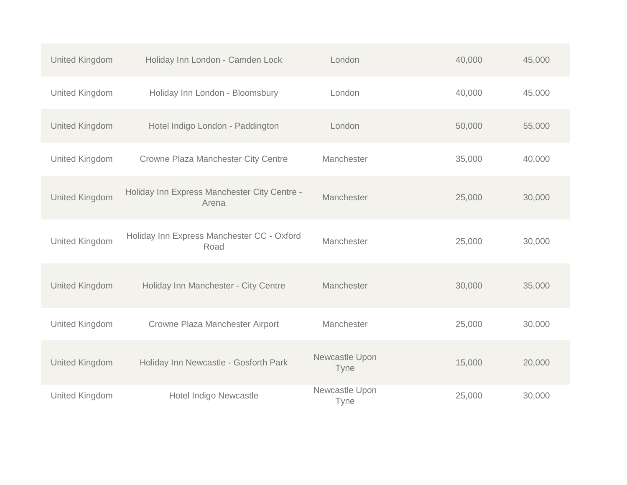| United Kingdom        | Holiday Inn London - Camden Lock                      | London                        | 40,000 | 45,000 |
|-----------------------|-------------------------------------------------------|-------------------------------|--------|--------|
| <b>United Kingdom</b> | Holiday Inn London - Bloomsbury                       | London                        | 40,000 | 45,000 |
| <b>United Kingdom</b> | Hotel Indigo London - Paddington                      | London                        | 50,000 | 55,000 |
| <b>United Kingdom</b> | Crowne Plaza Manchester City Centre                   | Manchester                    | 35,000 | 40,000 |
| <b>United Kingdom</b> | Holiday Inn Express Manchester City Centre -<br>Arena | Manchester                    | 25,000 | 30,000 |
| <b>United Kingdom</b> | Holiday Inn Express Manchester CC - Oxford<br>Road    | Manchester                    | 25,000 | 30,000 |
| United Kingdom        | Holiday Inn Manchester - City Centre                  | Manchester                    | 30,000 | 35,000 |
| United Kingdom        | Crowne Plaza Manchester Airport                       | Manchester                    | 25,000 | 30,000 |
| <b>United Kingdom</b> | Holiday Inn Newcastle - Gosforth Park                 | Newcastle Upon<br><b>Tyne</b> | 15,000 | 20,000 |
| <b>United Kingdom</b> | Hotel Indigo Newcastle                                | Newcastle Upon<br>Tyne        | 25,000 | 30,000 |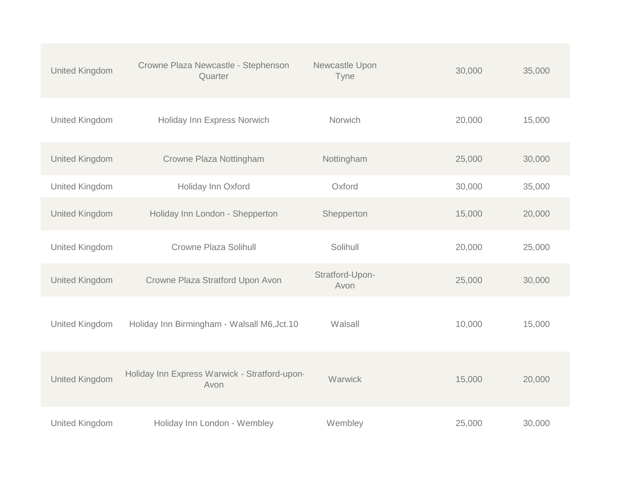| <b>United Kingdom</b> | Crowne Plaza Newcastle - Stephenson<br>Quarter        | Newcastle Upon<br>Tyne  | 30,000 | 35,000 |
|-----------------------|-------------------------------------------------------|-------------------------|--------|--------|
| <b>United Kingdom</b> | Holiday Inn Express Norwich                           | <b>Norwich</b>          | 20,000 | 15,000 |
| <b>United Kingdom</b> | Crowne Plaza Nottingham                               | Nottingham              | 25,000 | 30,000 |
| <b>United Kingdom</b> | Holiday Inn Oxford                                    | Oxford                  | 30,000 | 35,000 |
| <b>United Kingdom</b> | Holiday Inn London - Shepperton                       | Shepperton              | 15,000 | 20,000 |
| <b>United Kingdom</b> | <b>Crowne Plaza Solihull</b>                          | Solihull                | 20,000 | 25,000 |
| United Kingdom        | Crowne Plaza Stratford Upon Avon                      | Stratford-Upon-<br>Avon | 25,000 | 30,000 |
| United Kingdom        | Holiday Inn Birmingham - Walsall M6, Jct.10           | Walsall                 | 10,000 | 15,000 |
| <b>United Kingdom</b> | Holiday Inn Express Warwick - Stratford-upon-<br>Avon | Warwick                 | 15,000 | 20,000 |
| <b>United Kingdom</b> | Holiday Inn London - Wembley                          | Wembley                 | 25,000 | 30,000 |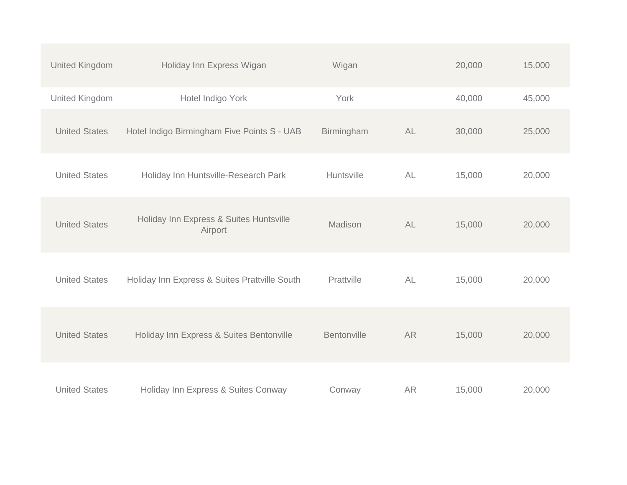| <b>United Kingdom</b> | Holiday Inn Express Wigan                          | Wigan       |           | 20,000 | 15,000 |
|-----------------------|----------------------------------------------------|-------------|-----------|--------|--------|
| <b>United Kingdom</b> | Hotel Indigo York                                  | York        |           | 40,000 | 45,000 |
| <b>United States</b>  | Hotel Indigo Birmingham Five Points S - UAB        | Birmingham  | AL        | 30,000 | 25,000 |
| <b>United States</b>  | Holiday Inn Huntsville-Research Park               | Huntsville  | AL        | 15,000 | 20,000 |
| <b>United States</b>  | Holiday Inn Express & Suites Huntsville<br>Airport | Madison     | AL        | 15,000 | 20,000 |
| <b>United States</b>  | Holiday Inn Express & Suites Prattville South      | Prattville  | <b>AL</b> | 15,000 | 20,000 |
| <b>United States</b>  | Holiday Inn Express & Suites Bentonville           | Bentonville | <b>AR</b> | 15,000 | 20,000 |
| <b>United States</b>  | Holiday Inn Express & Suites Conway                | Conway      | <b>AR</b> | 15,000 | 20,000 |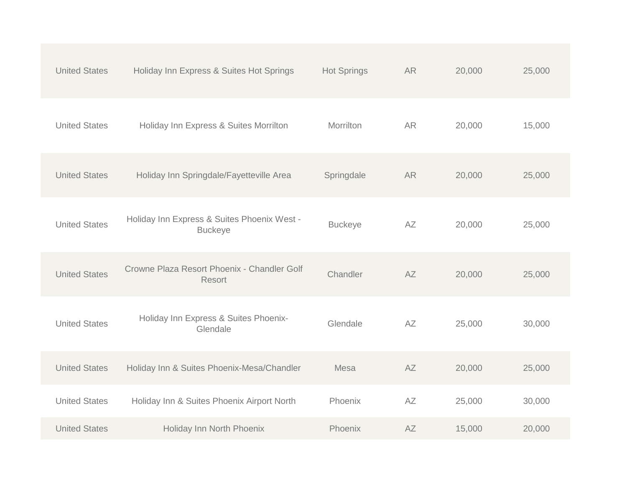| <b>United States</b> | Holiday Inn Express & Suites Hot Springs                      | <b>Hot Springs</b> | <b>AR</b> | 20,000 | 25,000 |
|----------------------|---------------------------------------------------------------|--------------------|-----------|--------|--------|
| <b>United States</b> | Holiday Inn Express & Suites Morrilton                        | Morrilton          | <b>AR</b> | 20,000 | 15,000 |
| <b>United States</b> | Holiday Inn Springdale/Fayetteville Area                      | Springdale         | <b>AR</b> | 20,000 | 25,000 |
| <b>United States</b> | Holiday Inn Express & Suites Phoenix West -<br><b>Buckeye</b> | <b>Buckeye</b>     | AZ        | 20,000 | 25,000 |
| <b>United States</b> | Crowne Plaza Resort Phoenix - Chandler Golf<br><b>Resort</b>  | Chandler           | AZ        | 20,000 | 25,000 |
| <b>United States</b> | Holiday Inn Express & Suites Phoenix-<br>Glendale             | Glendale           | AZ        | 25,000 | 30,000 |
| <b>United States</b> | Holiday Inn & Suites Phoenix-Mesa/Chandler                    | Mesa               | <b>AZ</b> | 20,000 | 25,000 |
| <b>United States</b> | Holiday Inn & Suites Phoenix Airport North                    | Phoenix            | AZ        | 25,000 | 30,000 |
| <b>United States</b> | Holiday Inn North Phoenix                                     | Phoenix            | <b>AZ</b> | 15,000 | 20,000 |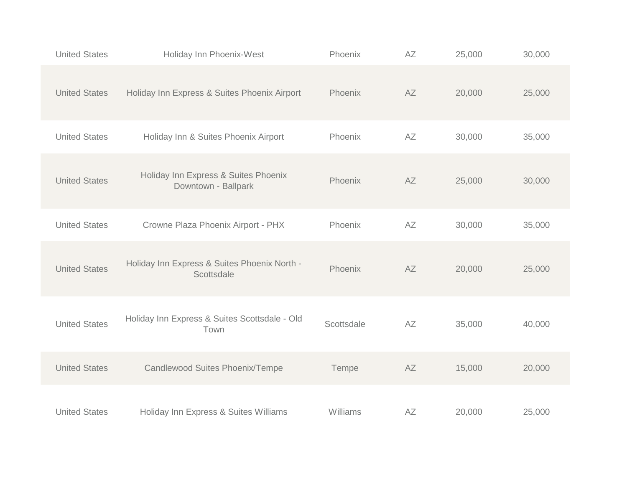| <b>United States</b> | Holiday Inn Phoenix-West                                    | Phoenix    | AZ | 25,000 | 30,000 |
|----------------------|-------------------------------------------------------------|------------|----|--------|--------|
| <b>United States</b> | Holiday Inn Express & Suites Phoenix Airport                | Phoenix    | AZ | 20,000 | 25,000 |
| <b>United States</b> | Holiday Inn & Suites Phoenix Airport                        | Phoenix    | AZ | 30,000 | 35,000 |
| <b>United States</b> | Holiday Inn Express & Suites Phoenix<br>Downtown - Ballpark | Phoenix    | AZ | 25,000 | 30,000 |
| <b>United States</b> | Crowne Plaza Phoenix Airport - PHX                          | Phoenix    | AZ | 30,000 | 35,000 |
| <b>United States</b> | Holiday Inn Express & Suites Phoenix North -<br>Scottsdale  | Phoenix    | AZ | 20,000 | 25,000 |
| <b>United States</b> | Holiday Inn Express & Suites Scottsdale - Old<br>Town       | Scottsdale | AZ | 35,000 | 40,000 |
| <b>United States</b> | Candlewood Suites Phoenix/Tempe                             | Tempe      | AZ | 15,000 | 20,000 |
| <b>United States</b> | Holiday Inn Express & Suites Williams                       | Williams   | AZ | 20,000 | 25,000 |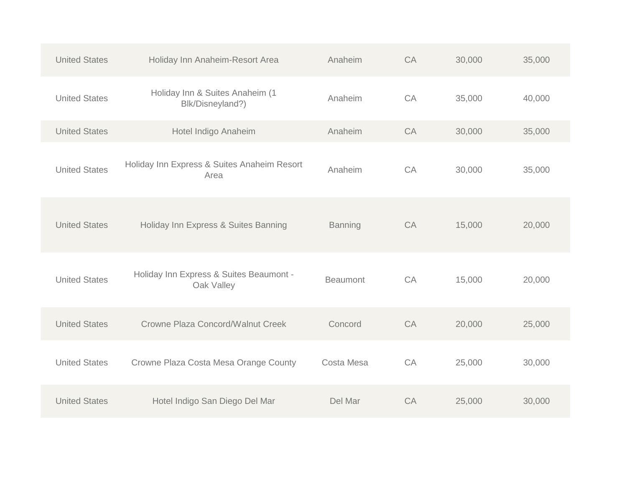| <b>United States</b> | Holiday Inn Anaheim-Resort Area                       | Anaheim         | CA | 30,000 | 35,000 |
|----------------------|-------------------------------------------------------|-----------------|----|--------|--------|
| <b>United States</b> | Holiday Inn & Suites Anaheim (1<br>Blk/Disneyland?)   | Anaheim         | CA | 35,000 | 40,000 |
| <b>United States</b> | Hotel Indigo Anaheim                                  | Anaheim         | CA | 30,000 | 35,000 |
| <b>United States</b> | Holiday Inn Express & Suites Anaheim Resort<br>Area   | Anaheim         | CA | 30,000 | 35,000 |
| <b>United States</b> | Holiday Inn Express & Suites Banning                  | <b>Banning</b>  | CA | 15,000 | 20,000 |
| <b>United States</b> | Holiday Inn Express & Suites Beaumont -<br>Oak Valley | <b>Beaumont</b> | CA | 15,000 | 20,000 |
| <b>United States</b> | Crowne Plaza Concord/Walnut Creek                     | Concord         | CA | 20,000 | 25,000 |
| <b>United States</b> | Crowne Plaza Costa Mesa Orange County                 | Costa Mesa      | CA | 25,000 | 30,000 |
| <b>United States</b> | Hotel Indigo San Diego Del Mar                        | Del Mar         | CA | 25,000 | 30,000 |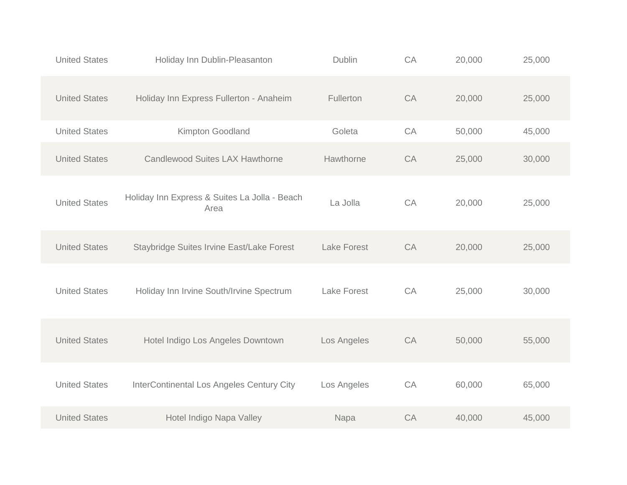| <b>United States</b> | Holiday Inn Dublin-Pleasanton                         | <b>Dublin</b>      | CA | 20,000 | 25,000 |
|----------------------|-------------------------------------------------------|--------------------|----|--------|--------|
| <b>United States</b> | Holiday Inn Express Fullerton - Anaheim               | Fullerton          | CA | 20,000 | 25,000 |
| <b>United States</b> | Kimpton Goodland                                      | Goleta             | CA | 50,000 | 45,000 |
| <b>United States</b> | <b>Candlewood Suites LAX Hawthorne</b>                | Hawthorne          | CA | 25,000 | 30,000 |
| <b>United States</b> | Holiday Inn Express & Suites La Jolla - Beach<br>Area | La Jolla           | CA | 20,000 | 25,000 |
| <b>United States</b> | Staybridge Suites Irvine East/Lake Forest             | <b>Lake Forest</b> | CA | 20,000 | 25,000 |
| <b>United States</b> | Holiday Inn Irvine South/Irvine Spectrum              | <b>Lake Forest</b> | CA | 25,000 | 30,000 |
| <b>United States</b> | Hotel Indigo Los Angeles Downtown                     | Los Angeles        | CA | 50,000 | 55,000 |
| <b>United States</b> | InterContinental Los Angeles Century City             | Los Angeles        | CA | 60,000 | 65,000 |
| <b>United States</b> | Hotel Indigo Napa Valley                              | Napa               | CA | 40,000 | 45,000 |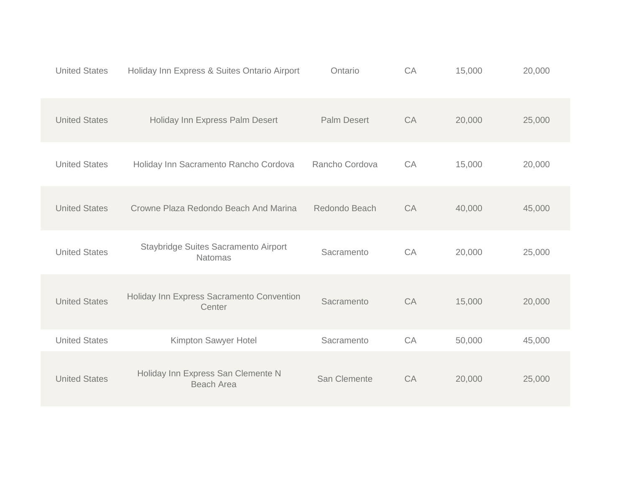| <b>United States</b> | Holiday Inn Express & Suites Ontario Airport            | Ontario            | CA | 15,000 | 20,000 |
|----------------------|---------------------------------------------------------|--------------------|----|--------|--------|
| <b>United States</b> | Holiday Inn Express Palm Desert                         | <b>Palm Desert</b> | CA | 20,000 | 25,000 |
| <b>United States</b> | Holiday Inn Sacramento Rancho Cordova                   | Rancho Cordova     | CA | 15,000 | 20,000 |
| <b>United States</b> | Crowne Plaza Redondo Beach And Marina                   | Redondo Beach      | CA | 40,000 | 45,000 |
| <b>United States</b> | Staybridge Suites Sacramento Airport<br><b>Natomas</b>  | Sacramento         | CA | 20,000 | 25,000 |
| <b>United States</b> | Holiday Inn Express Sacramento Convention<br>Center     | Sacramento         | CA | 15,000 | 20,000 |
| <b>United States</b> | Kimpton Sawyer Hotel                                    | Sacramento         | CA | 50,000 | 45,000 |
| <b>United States</b> | Holiday Inn Express San Clemente N<br><b>Beach Area</b> | San Clemente       | CA | 20,000 | 25,000 |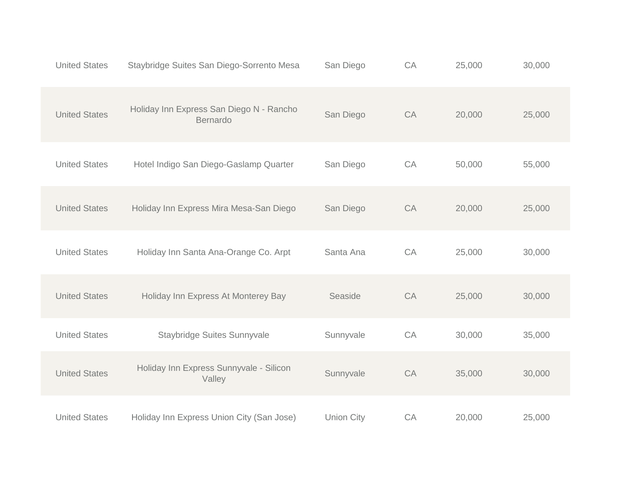| <b>United States</b> | Staybridge Suites San Diego-Sorrento Mesa            | San Diego         | CA | 25,000 | 30,000 |
|----------------------|------------------------------------------------------|-------------------|----|--------|--------|
| <b>United States</b> | Holiday Inn Express San Diego N - Rancho<br>Bernardo | San Diego         | CA | 20,000 | 25,000 |
| <b>United States</b> | Hotel Indigo San Diego-Gaslamp Quarter               | San Diego         | CA | 50,000 | 55,000 |
| <b>United States</b> | Holiday Inn Express Mira Mesa-San Diego              | San Diego         | CA | 20,000 | 25,000 |
| <b>United States</b> | Holiday Inn Santa Ana-Orange Co. Arpt                | Santa Ana         | CA | 25,000 | 30,000 |
| <b>United States</b> | Holiday Inn Express At Monterey Bay                  | Seaside           | CA | 25,000 | 30,000 |
| <b>United States</b> | Staybridge Suites Sunnyvale                          | Sunnyvale         | CA | 30,000 | 35,000 |
| <b>United States</b> | Holiday Inn Express Sunnyvale - Silicon<br>Valley    | Sunnyvale         | CA | 35,000 | 30,000 |
| <b>United States</b> | Holiday Inn Express Union City (San Jose)            | <b>Union City</b> | CA | 20,000 | 25,000 |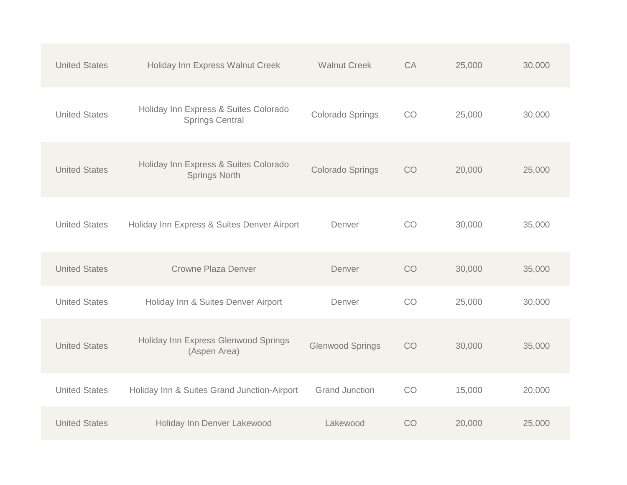| <b>United States</b> | Holiday Inn Express Walnut Creek                                | <b>Walnut Creek</b>     | CA | 25,000 | 30,000 |
|----------------------|-----------------------------------------------------------------|-------------------------|----|--------|--------|
| <b>United States</b> | Holiday Inn Express & Suites Colorado<br><b>Springs Central</b> | Colorado Springs        | CO | 25,000 | 30,000 |
| <b>United States</b> | Holiday Inn Express & Suites Colorado<br><b>Springs North</b>   | <b>Colorado Springs</b> | CO | 20,000 | 25,000 |
| <b>United States</b> | Holiday Inn Express & Suites Denver Airport                     | Denver                  | CO | 30,000 | 35,000 |
| <b>United States</b> | <b>Crowne Plaza Denver</b>                                      | Denver                  | CO | 30,000 | 35,000 |
| <b>United States</b> | Holiday Inn & Suites Denver Airport                             | Denver                  | CO | 25,000 | 30,000 |
| <b>United States</b> | Holiday Inn Express Glenwood Springs<br>(Aspen Area)            | <b>Glenwood Springs</b> | CO | 30,000 | 35,000 |
| <b>United States</b> | Holiday Inn & Suites Grand Junction-Airport                     | <b>Grand Junction</b>   | CO | 15,000 | 20,000 |
| <b>United States</b> | Holiday Inn Denver Lakewood                                     | Lakewood                | CO | 20,000 | 25,000 |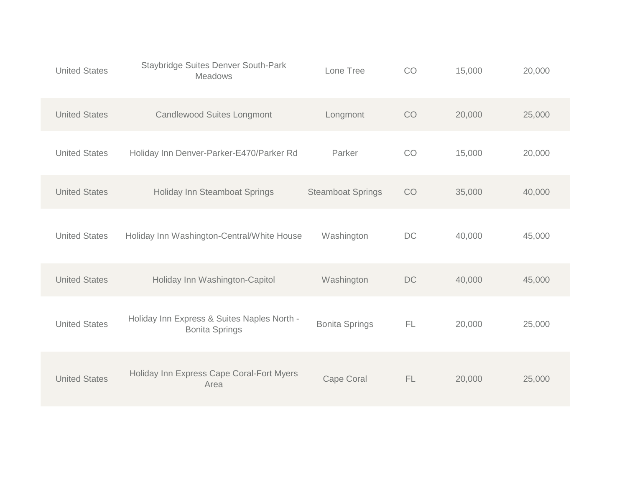| <b>United States</b> | <b>Staybridge Suites Denver South-Park</b><br>Meadows                | Lone Tree                | CO  | 15,000 | 20,000 |
|----------------------|----------------------------------------------------------------------|--------------------------|-----|--------|--------|
| <b>United States</b> | <b>Candlewood Suites Longmont</b>                                    | Longmont                 | CO  | 20,000 | 25,000 |
| <b>United States</b> | Holiday Inn Denver-Parker-E470/Parker Rd                             | Parker                   | CO  | 15,000 | 20,000 |
| <b>United States</b> | Holiday Inn Steamboat Springs                                        | <b>Steamboat Springs</b> | CO  | 35,000 | 40,000 |
| <b>United States</b> | Holiday Inn Washington-Central/White House                           | Washington               | DC  | 40,000 | 45,000 |
| <b>United States</b> | Holiday Inn Washington-Capitol                                       | Washington               | DC  | 40,000 | 45,000 |
| <b>United States</b> | Holiday Inn Express & Suites Naples North -<br><b>Bonita Springs</b> | <b>Bonita Springs</b>    | FL. | 20,000 | 25,000 |
| <b>United States</b> | Holiday Inn Express Cape Coral-Fort Myers<br>Area                    | <b>Cape Coral</b>        | FL. | 20,000 | 25,000 |
|                      |                                                                      |                          |     |        |        |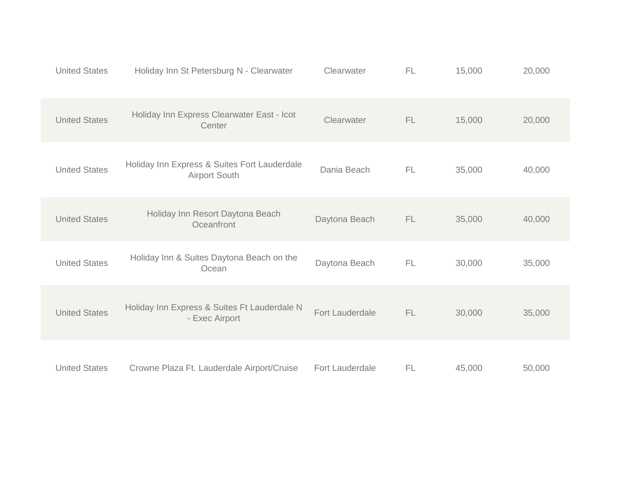| <b>United States</b> | Holiday Inn St Petersburg N - Clearwater                             | Clearwater      | FL  | 15,000 | 20,000 |
|----------------------|----------------------------------------------------------------------|-----------------|-----|--------|--------|
| <b>United States</b> | Holiday Inn Express Clearwater East - Icot<br>Center                 | Clearwater      | FL  | 15,000 | 20,000 |
| <b>United States</b> | Holiday Inn Express & Suites Fort Lauderdale<br><b>Airport South</b> | Dania Beach     | FL  | 35,000 | 40,000 |
| <b>United States</b> | Holiday Inn Resort Daytona Beach<br>Oceanfront                       | Daytona Beach   | FL  | 35,000 | 40,000 |
| <b>United States</b> | Holiday Inn & Suites Daytona Beach on the<br>Ocean                   | Daytona Beach   | FL  | 30,000 | 35,000 |
| <b>United States</b> | Holiday Inn Express & Suites Ft Lauderdale N<br>- Exec Airport       | Fort Lauderdale | FL. | 30,000 | 35,000 |
| <b>United States</b> | Crowne Plaza Ft. Lauderdale Airport/Cruise                           | Fort Lauderdale | FL  | 45,000 | 50,000 |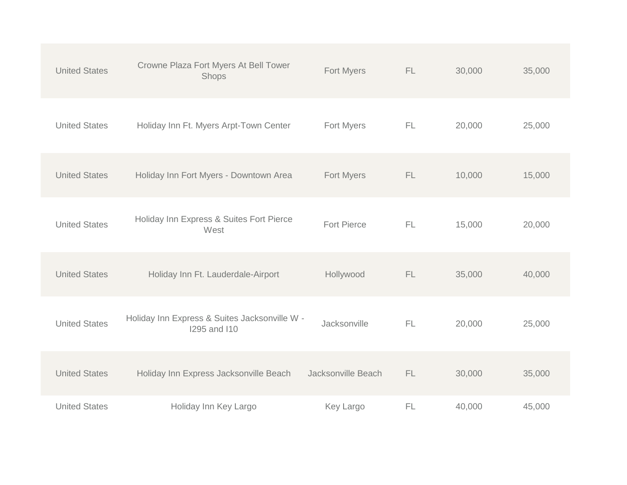| <b>United States</b> | Crowne Plaza Fort Myers At Bell Tower<br>Shops                       | Fort Myers         | <b>FL</b> | 30,000 | 35,000 |
|----------------------|----------------------------------------------------------------------|--------------------|-----------|--------|--------|
| <b>United States</b> | Holiday Inn Ft. Myers Arpt-Town Center                               | Fort Myers         | FL.       | 20,000 | 25,000 |
| <b>United States</b> | Holiday Inn Fort Myers - Downtown Area                               | Fort Myers         | FL.       | 10,000 | 15,000 |
| <b>United States</b> | Holiday Inn Express & Suites Fort Pierce<br>West                     | <b>Fort Pierce</b> | <b>FL</b> | 15,000 | 20,000 |
| <b>United States</b> | Holiday Inn Ft. Lauderdale-Airport                                   | Hollywood          | <b>FL</b> | 35,000 | 40,000 |
| <b>United States</b> | Holiday Inn Express & Suites Jacksonville W -<br><b>1295 and 110</b> | Jacksonville       | FL        | 20,000 | 25,000 |
| <b>United States</b> | Holiday Inn Express Jacksonville Beach                               | Jacksonville Beach | FL.       | 30,000 | 35,000 |
| <b>United States</b> | Holiday Inn Key Largo                                                | Key Largo          | FL        | 40,000 | 45,000 |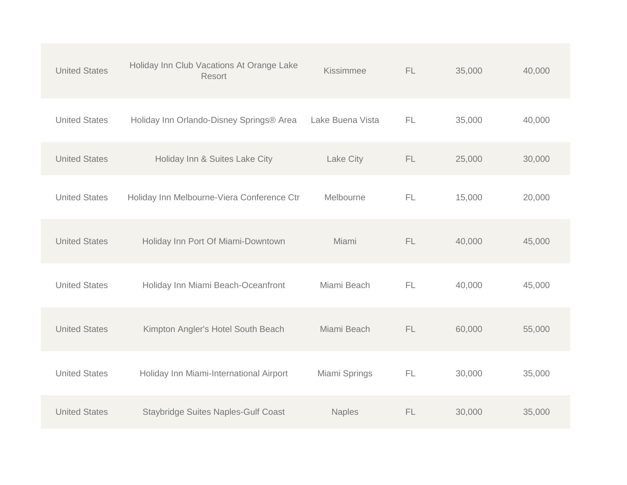| <b>United States</b> | Holiday Inn Club Vacations At Orange Lake<br>Resort | Kissimmee        | FL. | 35,000 | 40,000 |
|----------------------|-----------------------------------------------------|------------------|-----|--------|--------|
| <b>United States</b> | Holiday Inn Orlando-Disney Springs® Area            | Lake Buena Vista | FL. | 35,000 | 40,000 |
| <b>United States</b> | Holiday Inn & Suites Lake City                      | Lake City        | FL. | 25,000 | 30,000 |
| <b>United States</b> | Holiday Inn Melbourne-Viera Conference Ctr          | Melbourne        | FL  | 15,000 | 20,000 |
| <b>United States</b> | Holiday Inn Port Of Miami-Downtown                  | Miami            | FL  | 40,000 | 45,000 |
| <b>United States</b> | Holiday Inn Miami Beach-Oceanfront                  | Miami Beach      | FL  | 40,000 | 45,000 |
| <b>United States</b> | Kimpton Angler's Hotel South Beach                  | Miami Beach      | FL  | 60,000 | 55,000 |
| <b>United States</b> | Holiday Inn Miami-International Airport             | Miami Springs    | FL  | 30,000 | 35,000 |
| <b>United States</b> | <b>Staybridge Suites Naples-Gulf Coast</b>          | <b>Naples</b>    | FL. | 30,000 | 35,000 |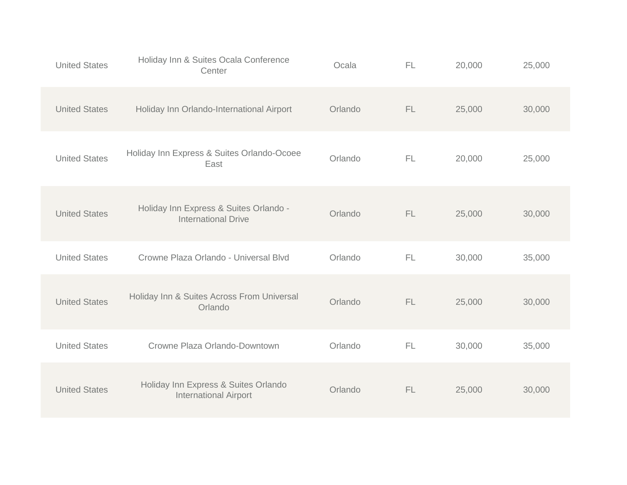| <b>United States</b> | Holiday Inn & Suites Ocala Conference<br>Center                      | Ocala   | <b>FL</b> | 20,000 | 25,000 |
|----------------------|----------------------------------------------------------------------|---------|-----------|--------|--------|
| <b>United States</b> | Holiday Inn Orlando-International Airport                            | Orlando | FL        | 25,000 | 30,000 |
| <b>United States</b> | Holiday Inn Express & Suites Orlando-Ocoee<br>East                   | Orlando | FL        | 20,000 | 25,000 |
| <b>United States</b> | Holiday Inn Express & Suites Orlando -<br><b>International Drive</b> | Orlando | <b>FL</b> | 25,000 | 30,000 |
| <b>United States</b> | Crowne Plaza Orlando - Universal Blvd                                | Orlando | <b>FL</b> | 30,000 | 35,000 |
| <b>United States</b> | Holiday Inn & Suites Across From Universal<br>Orlando                | Orlando | FL        | 25,000 | 30,000 |
| <b>United States</b> | Crowne Plaza Orlando-Downtown                                        | Orlando | <b>FL</b> | 30,000 | 35,000 |
| <b>United States</b> | Holiday Inn Express & Suites Orlando<br><b>International Airport</b> | Orlando | FL        | 25,000 | 30,000 |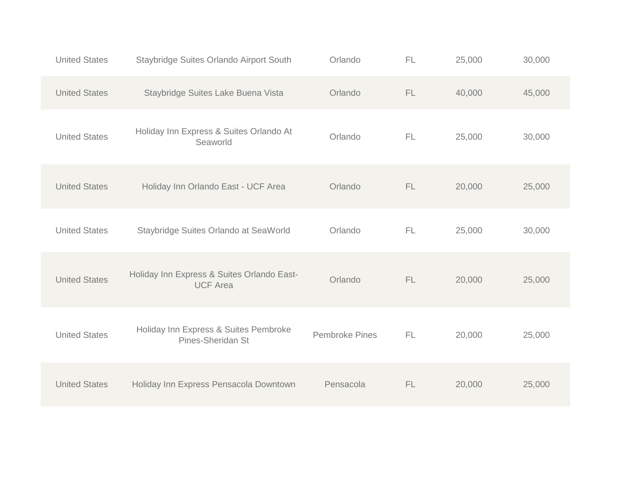| <b>United States</b> | Staybridge Suites Orlando Airport South                       | Orlando               | FL | 25,000 | 30,000 |
|----------------------|---------------------------------------------------------------|-----------------------|----|--------|--------|
| <b>United States</b> | Staybridge Suites Lake Buena Vista                            | Orlando               | FL | 40,000 | 45,000 |
| <b>United States</b> | Holiday Inn Express & Suites Orlando At<br>Seaworld           | Orlando               | FL | 25,000 | 30,000 |
| <b>United States</b> | Holiday Inn Orlando East - UCF Area                           | Orlando               | FL | 20,000 | 25,000 |
| <b>United States</b> | Staybridge Suites Orlando at SeaWorld                         | Orlando               | FL | 25,000 | 30,000 |
| <b>United States</b> | Holiday Inn Express & Suites Orlando East-<br><b>UCF Area</b> | Orlando               | FL | 20,000 | 25,000 |
| <b>United States</b> | Holiday Inn Express & Suites Pembroke<br>Pines-Sheridan St    | <b>Pembroke Pines</b> | FL | 20,000 | 25,000 |
| <b>United States</b> | Holiday Inn Express Pensacola Downtown                        | Pensacola             | FL | 20,000 | 25,000 |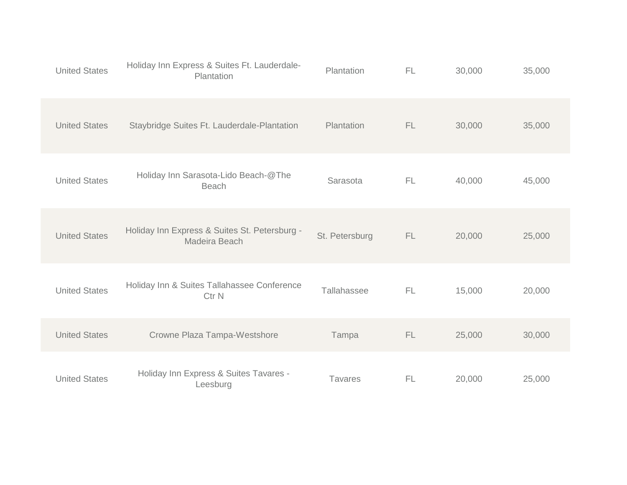| <b>United States</b> | Holiday Inn Express & Suites Ft. Lauderdale-<br>Plantation      | Plantation     | FL        | 30,000 | 35,000 |
|----------------------|-----------------------------------------------------------------|----------------|-----------|--------|--------|
| <b>United States</b> | Staybridge Suites Ft. Lauderdale-Plantation                     | Plantation     | FL.       | 30,000 | 35,000 |
| <b>United States</b> | Holiday Inn Sarasota-Lido Beach-@The<br><b>Beach</b>            | Sarasota       | FL.       | 40,000 | 45,000 |
| <b>United States</b> | Holiday Inn Express & Suites St. Petersburg -<br>Madeira Beach  | St. Petersburg | FL.       | 20,000 | 25,000 |
| <b>United States</b> | Holiday Inn & Suites Tallahassee Conference<br>Ctr <sub>N</sub> | Tallahassee    | FL.       | 15,000 | 20,000 |
| <b>United States</b> | Crowne Plaza Tampa-Westshore                                    | Tampa          | FL.       | 25,000 | 30,000 |
| <b>United States</b> | Holiday Inn Express & Suites Tavares -<br>Leesburg              | <b>Tavares</b> | <b>FL</b> | 20,000 | 25,000 |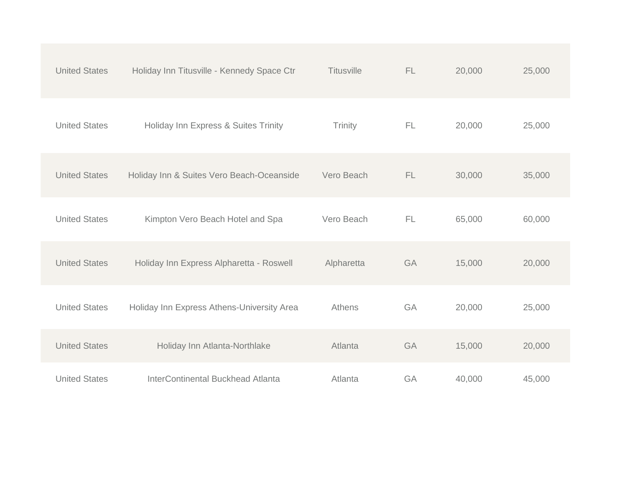| <b>United States</b> | Holiday Inn Titusville - Kennedy Space Ctr | <b>Titusville</b> | FL | 20,000 | 25,000 |
|----------------------|--------------------------------------------|-------------------|----|--------|--------|
| <b>United States</b> | Holiday Inn Express & Suites Trinity       | Trinity           | FL | 20,000 | 25,000 |
| <b>United States</b> | Holiday Inn & Suites Vero Beach-Oceanside  | Vero Beach        | FL | 30,000 | 35,000 |
| <b>United States</b> | Kimpton Vero Beach Hotel and Spa           | Vero Beach        | FL | 65,000 | 60,000 |
| <b>United States</b> | Holiday Inn Express Alpharetta - Roswell   | Alpharetta        | GA | 15,000 | 20,000 |
| <b>United States</b> | Holiday Inn Express Athens-University Area | Athens            | GA | 20,000 | 25,000 |
| <b>United States</b> | Holiday Inn Atlanta-Northlake              | Atlanta           | GA | 15,000 | 20,000 |
| <b>United States</b> | <b>InterContinental Buckhead Atlanta</b>   | Atlanta           | GA | 40,000 | 45,000 |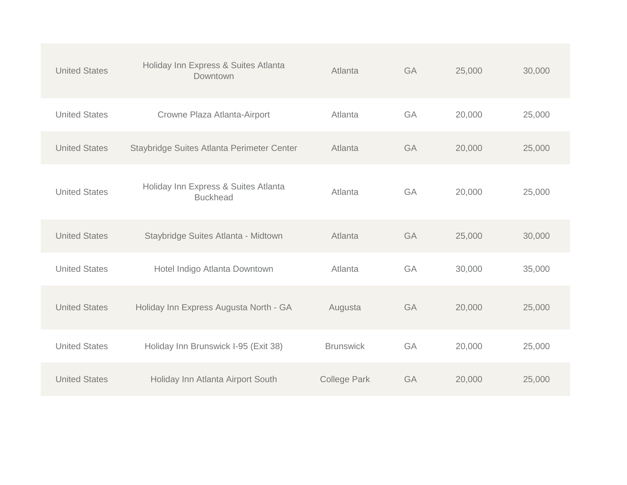| <b>United States</b> | Holiday Inn Express & Suites Atlanta<br>Downtown        | Atlanta             | GA | 25,000 | 30,000 |
|----------------------|---------------------------------------------------------|---------------------|----|--------|--------|
| <b>United States</b> | Crowne Plaza Atlanta-Airport                            | Atlanta             | GA | 20,000 | 25,000 |
| <b>United States</b> | Staybridge Suites Atlanta Perimeter Center              | Atlanta             | GA | 20,000 | 25,000 |
| <b>United States</b> | Holiday Inn Express & Suites Atlanta<br><b>Buckhead</b> | Atlanta             | GA | 20,000 | 25,000 |
| <b>United States</b> | Staybridge Suites Atlanta - Midtown                     | Atlanta             | GA | 25,000 | 30,000 |
| <b>United States</b> | Hotel Indigo Atlanta Downtown                           | Atlanta             | GA | 30,000 | 35,000 |
| <b>United States</b> | Holiday Inn Express Augusta North - GA                  | Augusta             | GA | 20,000 | 25,000 |
| <b>United States</b> | Holiday Inn Brunswick I-95 (Exit 38)                    | <b>Brunswick</b>    | GA | 20,000 | 25,000 |
| <b>United States</b> | Holiday Inn Atlanta Airport South                       | <b>College Park</b> | GA | 20,000 | 25,000 |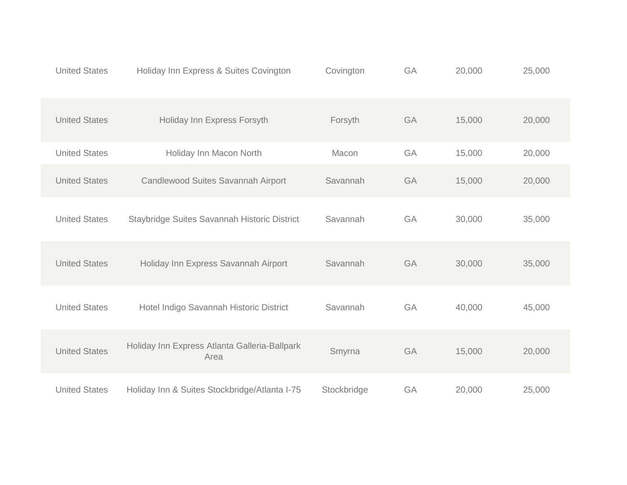| <b>United States</b> | Holiday Inn Express & Suites Covington                | Covington   | GA | 20,000 | 25,000 |
|----------------------|-------------------------------------------------------|-------------|----|--------|--------|
| <b>United States</b> | Holiday Inn Express Forsyth                           | Forsyth     | GA | 15,000 | 20,000 |
| <b>United States</b> | Holiday Inn Macon North                               | Macon       | GA | 15,000 | 20,000 |
| <b>United States</b> | Candlewood Suites Savannah Airport                    | Savannah    | GA | 15,000 | 20,000 |
| <b>United States</b> | Staybridge Suites Savannah Historic District          | Savannah    | GA | 30,000 | 35,000 |
| <b>United States</b> | Holiday Inn Express Savannah Airport                  | Savannah    | GA | 30,000 | 35,000 |
| <b>United States</b> | Hotel Indigo Savannah Historic District               | Savannah    | GA | 40,000 | 45,000 |
| <b>United States</b> | Holiday Inn Express Atlanta Galleria-Ballpark<br>Area | Smyrna      | GA | 15,000 | 20,000 |
| <b>United States</b> | Holiday Inn & Suites Stockbridge/Atlanta I-75         | Stockbridge | GA | 20,000 | 25,000 |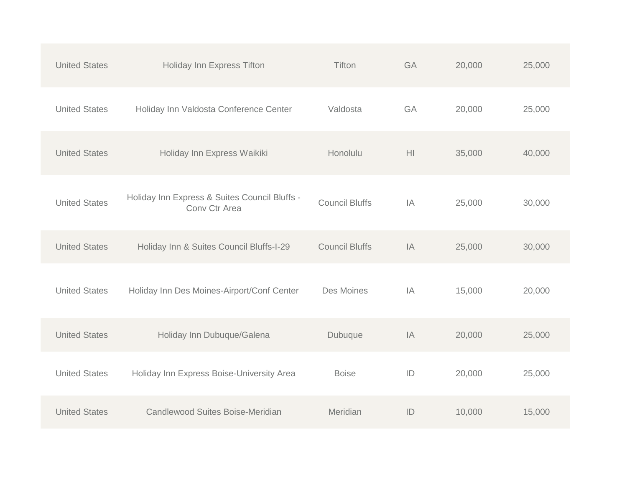| <b>United States</b> | Holiday Inn Express Tifton                                     | Tifton                | GA             | 20,000 | 25,000 |
|----------------------|----------------------------------------------------------------|-----------------------|----------------|--------|--------|
| <b>United States</b> | Holiday Inn Valdosta Conference Center                         | Valdosta              | GA             | 20,000 | 25,000 |
| <b>United States</b> | Holiday Inn Express Waikiki                                    | Honolulu              | H <sub>l</sub> | 35,000 | 40,000 |
| <b>United States</b> | Holiday Inn Express & Suites Council Bluffs -<br>Conv Ctr Area | <b>Council Bluffs</b> | IA             | 25,000 | 30,000 |
| <b>United States</b> | Holiday Inn & Suites Council Bluffs-I-29                       | <b>Council Bluffs</b> | IA             | 25,000 | 30,000 |
| <b>United States</b> | Holiday Inn Des Moines-Airport/Conf Center                     | Des Moines            | IA             | 15,000 | 20,000 |
| <b>United States</b> | Holiday Inn Dubuque/Galena                                     | Dubuque               | IA             | 20,000 | 25,000 |
| <b>United States</b> | Holiday Inn Express Boise-University Area                      | <b>Boise</b>          | ID             | 20,000 | 25,000 |
| <b>United States</b> | Candlewood Suites Boise-Meridian                               | Meridian              | ID             | 10,000 | 15,000 |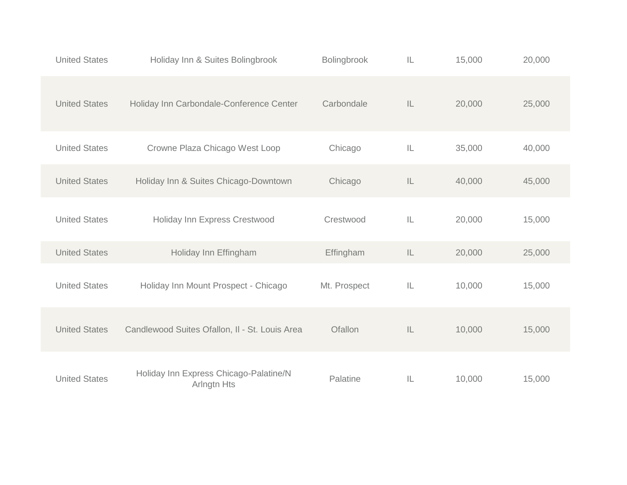| <b>United States</b> | Holiday Inn & Suites Bolingbrook                      | Bolingbrook  | IL            | 15,000 | 20,000 |
|----------------------|-------------------------------------------------------|--------------|---------------|--------|--------|
| <b>United States</b> | Holiday Inn Carbondale-Conference Center              | Carbondale   | IL.           | 20,000 | 25,000 |
| <b>United States</b> | Crowne Plaza Chicago West Loop                        | Chicago      | IL            | 35,000 | 40,000 |
| <b>United States</b> | Holiday Inn & Suites Chicago-Downtown                 | Chicago      | $\mathsf{IL}$ | 40,000 | 45,000 |
| <b>United States</b> | Holiday Inn Express Crestwood                         | Crestwood    | IL.           | 20,000 | 15,000 |
| <b>United States</b> | Holiday Inn Effingham                                 | Effingham    | IL            | 20,000 | 25,000 |
| <b>United States</b> | Holiday Inn Mount Prospect - Chicago                  | Mt. Prospect | IL            | 10,000 | 15,000 |
| <b>United States</b> | Candlewood Suites Ofallon, II - St. Louis Area        | Ofallon      | $\mathsf{IL}$ | 10,000 | 15,000 |
| <b>United States</b> | Holiday Inn Express Chicago-Palatine/N<br>Arlngtn Hts | Palatine     | IL.           | 10,000 | 15,000 |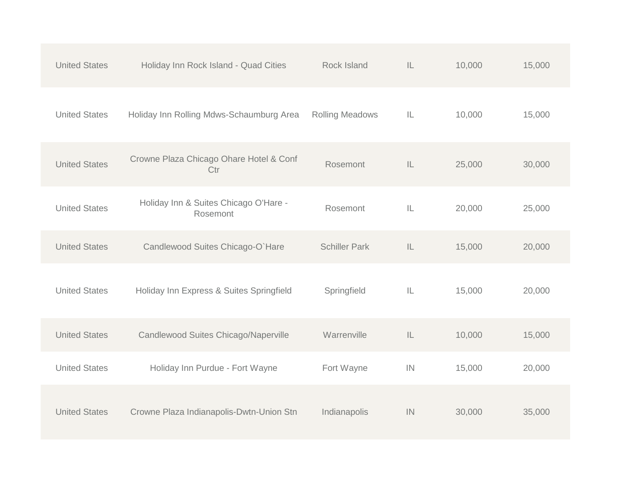| <b>United States</b> | Holiday Inn Rock Island - Quad Cities             | Rock Island            | IL | 10,000 | 15,000 |
|----------------------|---------------------------------------------------|------------------------|----|--------|--------|
| <b>United States</b> | Holiday Inn Rolling Mdws-Schaumburg Area          | <b>Rolling Meadows</b> | IL | 10,000 | 15,000 |
| <b>United States</b> | Crowne Plaza Chicago Ohare Hotel & Conf<br>Ctr    | Rosemont               | IL | 25,000 | 30,000 |
| <b>United States</b> | Holiday Inn & Suites Chicago O'Hare -<br>Rosemont | Rosemont               | IL | 20,000 | 25,000 |
| <b>United States</b> | Candlewood Suites Chicago-O'Hare                  | <b>Schiller Park</b>   | IL | 15,000 | 20,000 |
| <b>United States</b> | Holiday Inn Express & Suites Springfield          | Springfield            | IL | 15,000 | 20,000 |
| <b>United States</b> | Candlewood Suites Chicago/Naperville              | Warrenville            | IL | 10,000 | 15,000 |
| <b>United States</b> | Holiday Inn Purdue - Fort Wayne                   | Fort Wayne             | IN | 15,000 | 20,000 |
| <b>United States</b> | Crowne Plaza Indianapolis-Dwtn-Union Stn          | Indianapolis           | IN | 30,000 | 35,000 |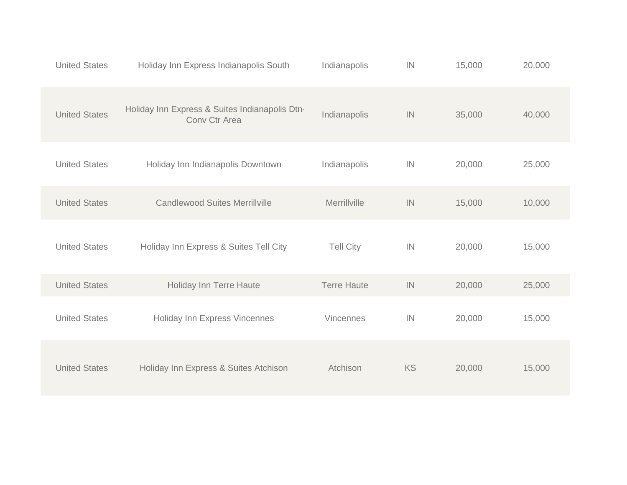| <b>United States</b> | Holiday Inn Express Indianapolis South                          | Indianapolis       | IN | 15,000 | 20,000 |
|----------------------|-----------------------------------------------------------------|--------------------|----|--------|--------|
| <b>United States</b> | Holiday Inn Express & Suites Indianapolis Dtn-<br>Conv Ctr Area | Indianapolis       | IN | 35,000 | 40,000 |
| <b>United States</b> | Holiday Inn Indianapolis Downtown                               | Indianapolis       | IN | 20,000 | 25,000 |
| <b>United States</b> | <b>Candlewood Suites Merrillville</b>                           | Merrillville       | IN | 15,000 | 10,000 |
| <b>United States</b> | Holiday Inn Express & Suites Tell City                          | <b>Tell City</b>   | IN | 20,000 | 15,000 |
| <b>United States</b> | Holiday Inn Terre Haute                                         | <b>Terre Haute</b> | IN | 20,000 | 25,000 |
| <b>United States</b> | Holiday Inn Express Vincennes                                   | Vincennes          | IN | 20,000 | 15,000 |
| <b>United States</b> | Holiday Inn Express & Suites Atchison                           | Atchison           | KS | 20,000 | 15,000 |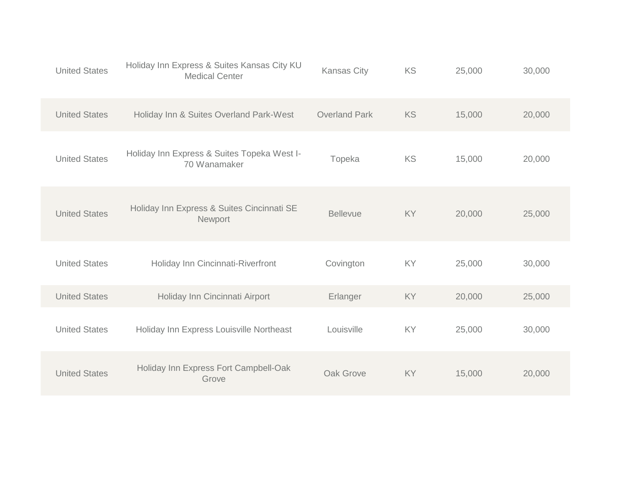| <b>United States</b> | Holiday Inn Express & Suites Kansas City KU<br><b>Medical Center</b> | <b>Kansas City</b>   | KS | 25,000 | 30,000 |
|----------------------|----------------------------------------------------------------------|----------------------|----|--------|--------|
| <b>United States</b> | Holiday Inn & Suites Overland Park-West                              | <b>Overland Park</b> | KS | 15,000 | 20,000 |
| <b>United States</b> | Holiday Inn Express & Suites Topeka West I-<br>70 Wanamaker          | Topeka               | KS | 15,000 | 20,000 |
| <b>United States</b> | Holiday Inn Express & Suites Cincinnati SE<br>Newport                | <b>Bellevue</b>      | KY | 20,000 | 25,000 |
| <b>United States</b> | Holiday Inn Cincinnati-Riverfront                                    | Covington            | KY | 25,000 | 30,000 |
| <b>United States</b> | Holiday Inn Cincinnati Airport                                       | Erlanger             | KY | 20,000 | 25,000 |
| <b>United States</b> | Holiday Inn Express Louisville Northeast                             | Louisville           | KY | 25,000 | 30,000 |
| <b>United States</b> | Holiday Inn Express Fort Campbell-Oak<br>Grove                       | Oak Grove            | KY | 15,000 | 20,000 |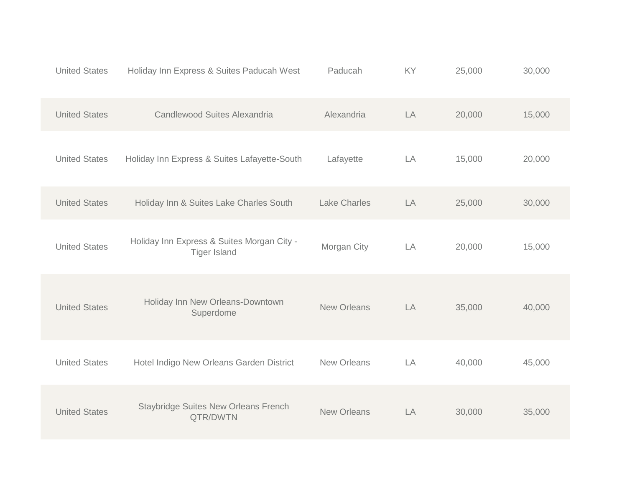| <b>United States</b> | Holiday Inn Express & Suites Paducah West                         | Paducah             | KY | 25,000 | 30,000 |
|----------------------|-------------------------------------------------------------------|---------------------|----|--------|--------|
| <b>United States</b> | Candlewood Suites Alexandria                                      | Alexandria          | LA | 20,000 | 15,000 |
| <b>United States</b> | Holiday Inn Express & Suites Lafayette-South                      | Lafayette           | LA | 15,000 | 20,000 |
| <b>United States</b> | Holiday Inn & Suites Lake Charles South                           | <b>Lake Charles</b> | LA | 25,000 | 30,000 |
| <b>United States</b> | Holiday Inn Express & Suites Morgan City -<br><b>Tiger Island</b> | Morgan City         | LA | 20,000 | 15,000 |
| <b>United States</b> | Holiday Inn New Orleans-Downtown<br>Superdome                     | <b>New Orleans</b>  | LA | 35,000 | 40,000 |
| <b>United States</b> | Hotel Indigo New Orleans Garden District                          | <b>New Orleans</b>  | LA | 40,000 | 45,000 |
| <b>United States</b> | <b>Staybridge Suites New Orleans French</b><br>QTR/DWTN           | <b>New Orleans</b>  | LA | 30,000 | 35,000 |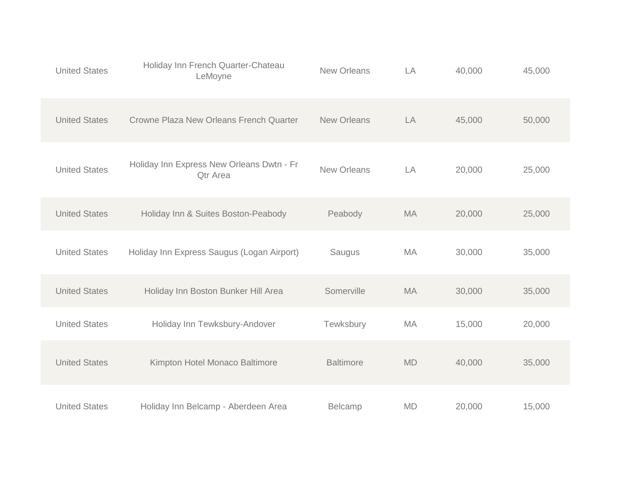| <b>United States</b> | Holiday Inn French Quarter-Chateau<br>LeMoyne                | <b>New Orleans</b> | LA        | 40,000 | 45,000 |  |
|----------------------|--------------------------------------------------------------|--------------------|-----------|--------|--------|--|
| <b>United States</b> | Crowne Plaza New Orleans French Quarter                      | <b>New Orleans</b> | LA        | 45,000 | 50,000 |  |
| <b>United States</b> | Holiday Inn Express New Orleans Dwtn - Fr<br><b>Qtr Area</b> | <b>New Orleans</b> | LA        | 20,000 | 25,000 |  |
| <b>United States</b> | Holiday Inn & Suites Boston-Peabody                          | Peabody            | <b>MA</b> | 20,000 | 25,000 |  |
| <b>United States</b> | Holiday Inn Express Saugus (Logan Airport)                   | Saugus             | <b>MA</b> | 30,000 | 35,000 |  |
| <b>United States</b> | Holiday Inn Boston Bunker Hill Area                          | Somerville         | <b>MA</b> | 30,000 | 35,000 |  |
| <b>United States</b> | Holiday Inn Tewksbury-Andover                                | Tewksbury          | MA        | 15,000 | 20,000 |  |
| <b>United States</b> | Kimpton Hotel Monaco Baltimore                               | <b>Baltimore</b>   | MD        | 40,000 | 35,000 |  |
| <b>United States</b> | Holiday Inn Belcamp - Aberdeen Area                          | Belcamp            | <b>MD</b> | 20,000 | 15,000 |  |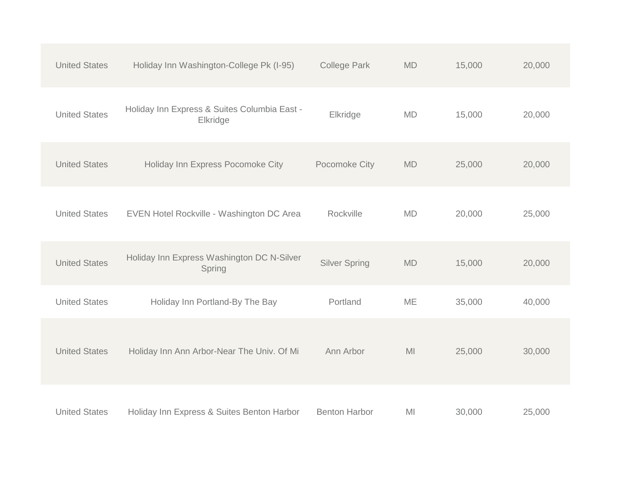| <b>United States</b> | Holiday Inn Washington-College Pk (I-95)                 | <b>College Park</b>  | <b>MD</b>      | 15,000 | 20,000 |
|----------------------|----------------------------------------------------------|----------------------|----------------|--------|--------|
| <b>United States</b> | Holiday Inn Express & Suites Columbia East -<br>Elkridge | Elkridge             | <b>MD</b>      | 15,000 | 20,000 |
| <b>United States</b> | Holiday Inn Express Pocomoke City                        | Pocomoke City        | <b>MD</b>      | 25,000 | 20,000 |
| <b>United States</b> | EVEN Hotel Rockville - Washington DC Area                | Rockville            | <b>MD</b>      | 20,000 | 25,000 |
| <b>United States</b> | Holiday Inn Express Washington DC N-Silver<br>Spring     | <b>Silver Spring</b> | <b>MD</b>      | 15,000 | 20,000 |
| <b>United States</b> | Holiday Inn Portland-By The Bay                          | Portland             | ME             | 35,000 | 40,000 |
| <b>United States</b> | Holiday Inn Ann Arbor-Near The Univ. Of Mi               | Ann Arbor            | M <sub>l</sub> | 25,000 | 30,000 |
| <b>United States</b> | Holiday Inn Express & Suites Benton Harbor               | <b>Benton Harbor</b> | MI             | 30,000 | 25,000 |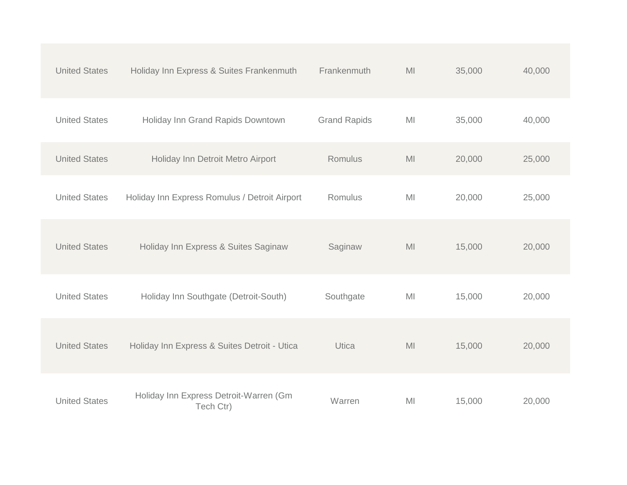| <b>United States</b> | Holiday Inn Express & Suites Frankenmuth            | Frankenmuth         | M <sub>l</sub> | 35,000 | 40,000 |  |
|----------------------|-----------------------------------------------------|---------------------|----------------|--------|--------|--|
| <b>United States</b> | Holiday Inn Grand Rapids Downtown                   | <b>Grand Rapids</b> | M <sub>l</sub> | 35,000 | 40,000 |  |
| <b>United States</b> | Holiday Inn Detroit Metro Airport                   | Romulus             | M <sub>l</sub> | 20,000 | 25,000 |  |
| <b>United States</b> | Holiday Inn Express Romulus / Detroit Airport       | Romulus             | M <sub>l</sub> | 20,000 | 25,000 |  |
| <b>United States</b> | Holiday Inn Express & Suites Saginaw                | Saginaw             | M <sub>l</sub> | 15,000 | 20,000 |  |
| <b>United States</b> | Holiday Inn Southgate (Detroit-South)               | Southgate           | MI             | 15,000 | 20,000 |  |
| <b>United States</b> | Holiday Inn Express & Suites Detroit - Utica        | Utica               | M <sub>l</sub> | 15,000 | 20,000 |  |
| <b>United States</b> | Holiday Inn Express Detroit-Warren (Gm<br>Tech Ctr) | Warren              | MI             | 15,000 | 20,000 |  |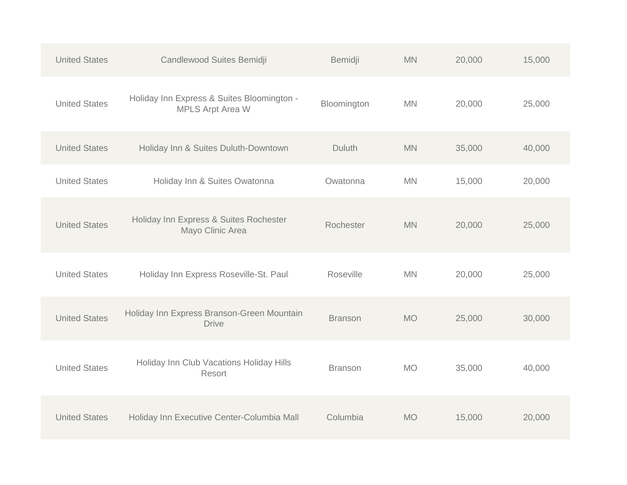| <b>United States</b> | Candlewood Suites Bemidji                                             | Bemidji        | <b>MN</b> | 20,000 | 15,000 |
|----------------------|-----------------------------------------------------------------------|----------------|-----------|--------|--------|
| <b>United States</b> | Holiday Inn Express & Suites Bloomington -<br><b>MPLS Arpt Area W</b> | Bloomington    | <b>MN</b> | 20,000 | 25,000 |
| <b>United States</b> | Holiday Inn & Suites Duluth-Downtown                                  | Duluth         | <b>MN</b> | 35,000 | 40,000 |
| <b>United States</b> | Holiday Inn & Suites Owatonna                                         | Owatonna       | <b>MN</b> | 15,000 | 20,000 |
| <b>United States</b> | Holiday Inn Express & Suites Rochester<br>Mayo Clinic Area            | Rochester      | <b>MN</b> | 20,000 | 25,000 |
| <b>United States</b> | Holiday Inn Express Roseville-St. Paul                                | Roseville      | <b>MN</b> | 20,000 | 25,000 |
| <b>United States</b> | Holiday Inn Express Branson-Green Mountain<br><b>Drive</b>            | <b>Branson</b> | <b>MO</b> | 25,000 | 30,000 |
| <b>United States</b> | Holiday Inn Club Vacations Holiday Hills<br>Resort                    | <b>Branson</b> | <b>MO</b> | 35,000 | 40,000 |
| <b>United States</b> | Holiday Inn Executive Center-Columbia Mall                            | Columbia       | <b>MO</b> | 15,000 | 20,000 |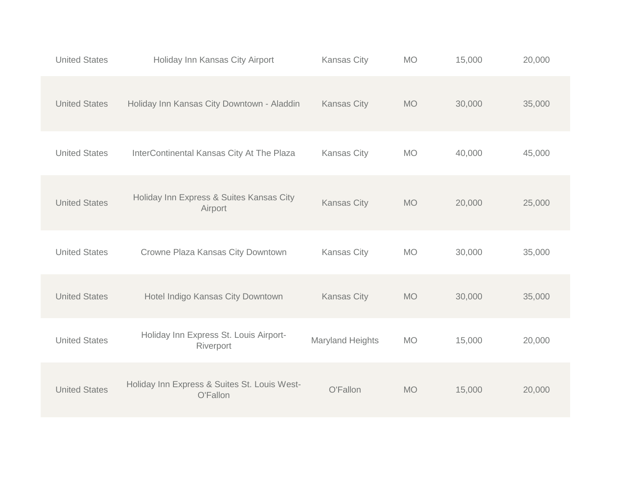| <b>United States</b> | Holiday Inn Kansas City Airport                          | <b>Kansas City</b>      | <b>MO</b> | 15,000 | 20,000 |
|----------------------|----------------------------------------------------------|-------------------------|-----------|--------|--------|
| <b>United States</b> | Holiday Inn Kansas City Downtown - Aladdin               | <b>Kansas City</b>      | <b>MO</b> | 30,000 | 35,000 |
| <b>United States</b> | InterContinental Kansas City At The Plaza                | <b>Kansas City</b>      | <b>MO</b> | 40,000 | 45,000 |
| <b>United States</b> | Holiday Inn Express & Suites Kansas City<br>Airport      | <b>Kansas City</b>      | <b>MO</b> | 20,000 | 25,000 |
| <b>United States</b> | Crowne Plaza Kansas City Downtown                        | <b>Kansas City</b>      | <b>MO</b> | 30,000 | 35,000 |
| <b>United States</b> | Hotel Indigo Kansas City Downtown                        | <b>Kansas City</b>      | <b>MO</b> | 30,000 | 35,000 |
| <b>United States</b> | Holiday Inn Express St. Louis Airport-<br>Riverport      | <b>Maryland Heights</b> | <b>MO</b> | 15,000 | 20,000 |
| <b>United States</b> | Holiday Inn Express & Suites St. Louis West-<br>O'Fallon | O'Fallon                | <b>MO</b> | 15,000 | 20,000 |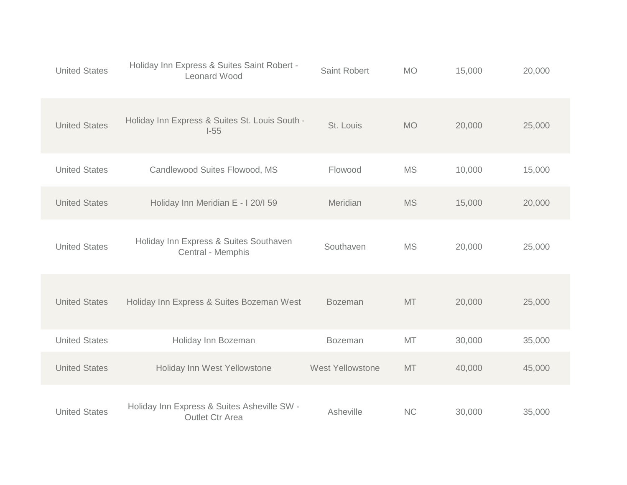| <b>United States</b> | Holiday Inn Express & Suites Saint Robert -<br>Leonard Wood           | <b>Saint Robert</b>     | <b>MO</b> | 15,000 | 20,000 |  |
|----------------------|-----------------------------------------------------------------------|-------------------------|-----------|--------|--------|--|
| <b>United States</b> | Holiday Inn Express & Suites St. Louis South -<br>$-55$               | St. Louis               | <b>MO</b> | 20,000 | 25,000 |  |
| <b>United States</b> | Candlewood Suites Flowood, MS                                         | Flowood                 | <b>MS</b> | 10,000 | 15,000 |  |
| <b>United States</b> | Holiday Inn Meridian E - I 20/I 59                                    | Meridian                | <b>MS</b> | 15,000 | 20,000 |  |
| <b>United States</b> | Holiday Inn Express & Suites Southaven<br>Central - Memphis           | Southaven               | <b>MS</b> | 20,000 | 25,000 |  |
| <b>United States</b> | Holiday Inn Express & Suites Bozeman West                             | <b>Bozeman</b>          | MT        | 20,000 | 25,000 |  |
| <b>United States</b> | Holiday Inn Bozeman                                                   | <b>Bozeman</b>          | MT        | 30,000 | 35,000 |  |
| <b>United States</b> | Holiday Inn West Yellowstone                                          | <b>West Yellowstone</b> | MT        | 40,000 | 45,000 |  |
| <b>United States</b> | Holiday Inn Express & Suites Asheville SW -<br><b>Outlet Ctr Area</b> | Asheville               | <b>NC</b> | 30,000 | 35,000 |  |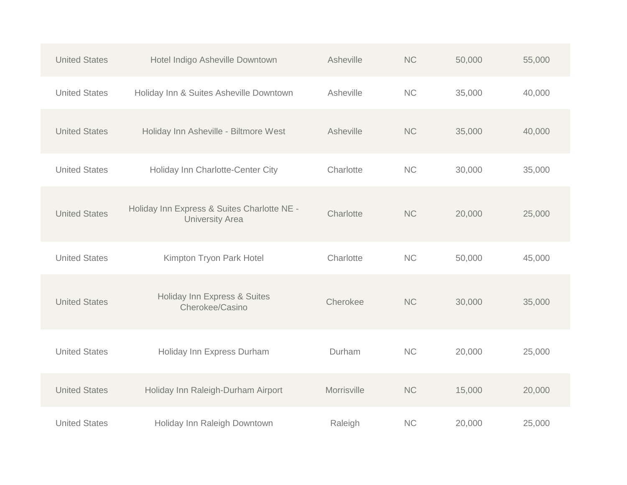| <b>United States</b> | Hotel Indigo Asheville Downtown                                       | Asheville   | <b>NC</b> | 50,000 | 55,000 |
|----------------------|-----------------------------------------------------------------------|-------------|-----------|--------|--------|
| <b>United States</b> | Holiday Inn & Suites Asheville Downtown                               | Asheville   | NC        | 35,000 | 40,000 |
| <b>United States</b> | Holiday Inn Asheville - Biltmore West                                 | Asheville   | <b>NC</b> | 35,000 | 40,000 |
| <b>United States</b> | Holiday Inn Charlotte-Center City                                     | Charlotte   | <b>NC</b> | 30,000 | 35,000 |
| <b>United States</b> | Holiday Inn Express & Suites Charlotte NE -<br><b>University Area</b> | Charlotte   | <b>NC</b> | 20,000 | 25,000 |
| <b>United States</b> | Kimpton Tryon Park Hotel                                              | Charlotte   | <b>NC</b> | 50,000 | 45,000 |
| <b>United States</b> | Holiday Inn Express & Suites<br>Cherokee/Casino                       | Cherokee    | <b>NC</b> | 30,000 | 35,000 |
| <b>United States</b> | Holiday Inn Express Durham                                            | Durham      | <b>NC</b> | 20,000 | 25,000 |
| <b>United States</b> | Holiday Inn Raleigh-Durham Airport                                    | Morrisville | <b>NC</b> | 15,000 | 20,000 |
| <b>United States</b> | Holiday Inn Raleigh Downtown                                          | Raleigh     | <b>NC</b> | 20,000 | 25,000 |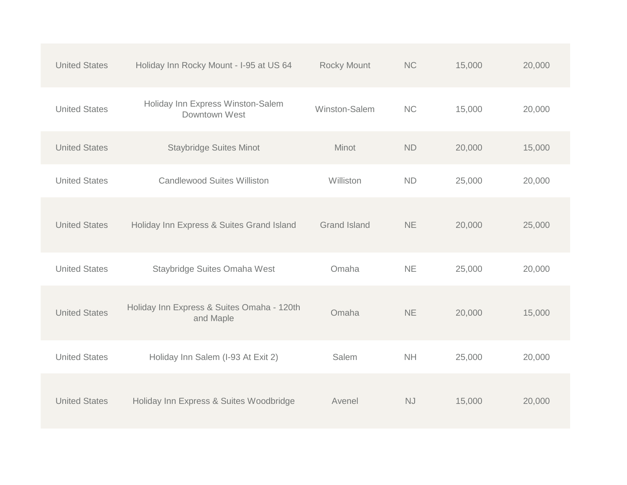| <b>United States</b> | Holiday Inn Rocky Mount - I-95 at US 64                 | <b>Rocky Mount</b>  | <b>NC</b> | 15,000 | 20,000 |
|----------------------|---------------------------------------------------------|---------------------|-----------|--------|--------|
| <b>United States</b> | Holiday Inn Express Winston-Salem<br>Downtown West      | Winston-Salem       | <b>NC</b> | 15,000 | 20,000 |
| <b>United States</b> | <b>Staybridge Suites Minot</b>                          | Minot               | <b>ND</b> | 20,000 | 15,000 |
| <b>United States</b> | <b>Candlewood Suites Williston</b>                      | Williston           | <b>ND</b> | 25,000 | 20,000 |
| <b>United States</b> | Holiday Inn Express & Suites Grand Island               | <b>Grand Island</b> | <b>NE</b> | 20,000 | 25,000 |
| <b>United States</b> | Staybridge Suites Omaha West                            | Omaha               | <b>NE</b> | 25,000 | 20,000 |
| <b>United States</b> | Holiday Inn Express & Suites Omaha - 120th<br>and Maple | Omaha               | <b>NE</b> | 20,000 | 15,000 |
| <b>United States</b> | Holiday Inn Salem (I-93 At Exit 2)                      | Salem               | NH        | 25,000 | 20,000 |
| <b>United States</b> | Holiday Inn Express & Suites Woodbridge                 | Avenel              | <b>NJ</b> | 15,000 | 20,000 |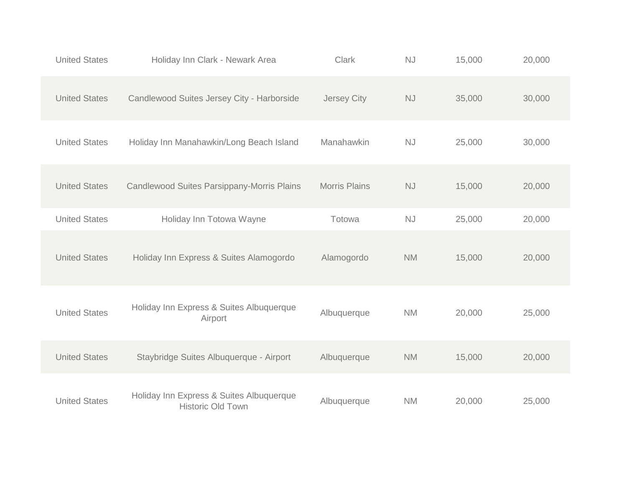| <b>United States</b> | Holiday Inn Clark - Newark Area                                      | <b>Clark</b>         | NJ                     | 15,000 | 20,000 |
|----------------------|----------------------------------------------------------------------|----------------------|------------------------|--------|--------|
| <b>United States</b> | Candlewood Suites Jersey City - Harborside                           | Jersey City          | $\mathbb{N}\mathbb{J}$ | 35,000 | 30,000 |
| <b>United States</b> | Holiday Inn Manahawkin/Long Beach Island                             | Manahawkin           | <b>NJ</b>              | 25,000 | 30,000 |
| <b>United States</b> | Candlewood Suites Parsippany-Morris Plains                           | <b>Morris Plains</b> | $\mathbb{N}\mathbb{J}$ | 15,000 | 20,000 |
| <b>United States</b> | Holiday Inn Totowa Wayne                                             | Totowa               | <b>NJ</b>              | 25,000 | 20,000 |
| <b>United States</b> | Holiday Inn Express & Suites Alamogordo                              | Alamogordo           | <b>NM</b>              | 15,000 | 20,000 |
| <b>United States</b> | Holiday Inn Express & Suites Albuquerque<br>Airport                  | Albuquerque          | <b>NM</b>              | 20,000 | 25,000 |
| <b>United States</b> | Staybridge Suites Albuquerque - Airport                              | Albuquerque          | <b>NM</b>              | 15,000 | 20,000 |
| <b>United States</b> | Holiday Inn Express & Suites Albuquerque<br><b>Historic Old Town</b> | Albuquerque          | <b>NM</b>              | 20,000 | 25,000 |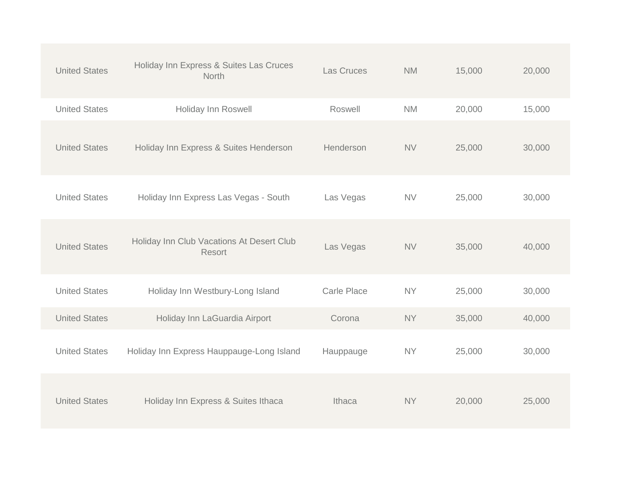| <b>United States</b> | Holiday Inn Express & Suites Las Cruces<br><b>North</b> | Las Cruces         | <b>NM</b> | 15,000 | 20,000 |
|----------------------|---------------------------------------------------------|--------------------|-----------|--------|--------|
| <b>United States</b> | Holiday Inn Roswell                                     | Roswell            | <b>NM</b> | 20,000 | 15,000 |
| <b>United States</b> | Holiday Inn Express & Suites Henderson                  | Henderson          | <b>NV</b> | 25,000 | 30,000 |
| <b>United States</b> | Holiday Inn Express Las Vegas - South                   | Las Vegas          | <b>NV</b> | 25,000 | 30,000 |
| <b>United States</b> | Holiday Inn Club Vacations At Desert Club<br>Resort     | Las Vegas          | <b>NV</b> | 35,000 | 40,000 |
| <b>United States</b> | Holiday Inn Westbury-Long Island                        | <b>Carle Place</b> | <b>NY</b> | 25,000 | 30,000 |
| <b>United States</b> | Holiday Inn LaGuardia Airport                           | Corona             | <b>NY</b> | 35,000 | 40,000 |
| <b>United States</b> | Holiday Inn Express Hauppauge-Long Island               | Hauppauge          | <b>NY</b> | 25,000 | 30,000 |
| <b>United States</b> | Holiday Inn Express & Suites Ithaca                     | Ithaca             | <b>NY</b> | 20,000 | 25,000 |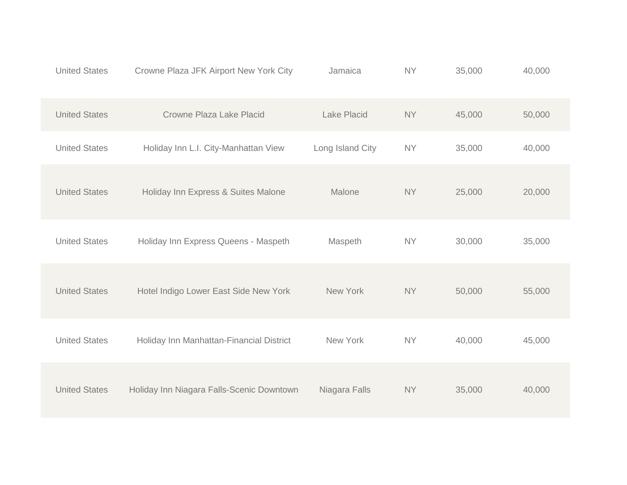| <b>United States</b> | Crowne Plaza JFK Airport New York City    | Jamaica          | <b>NY</b> | 35,000 | 40,000 |
|----------------------|-------------------------------------------|------------------|-----------|--------|--------|
| <b>United States</b> | Crowne Plaza Lake Placid                  | Lake Placid      | <b>NY</b> | 45,000 | 50,000 |
| <b>United States</b> | Holiday Inn L.I. City-Manhattan View      | Long Island City | <b>NY</b> | 35,000 | 40,000 |
| <b>United States</b> | Holiday Inn Express & Suites Malone       | Malone           | <b>NY</b> | 25,000 | 20,000 |
| <b>United States</b> | Holiday Inn Express Queens - Maspeth      | Maspeth          | <b>NY</b> | 30,000 | 35,000 |
| <b>United States</b> | Hotel Indigo Lower East Side New York     | New York         | <b>NY</b> | 50,000 | 55,000 |
| <b>United States</b> | Holiday Inn Manhattan-Financial District  | New York         | <b>NY</b> | 40,000 | 45,000 |
| <b>United States</b> | Holiday Inn Niagara Falls-Scenic Downtown | Niagara Falls    | <b>NY</b> | 35,000 | 40,000 |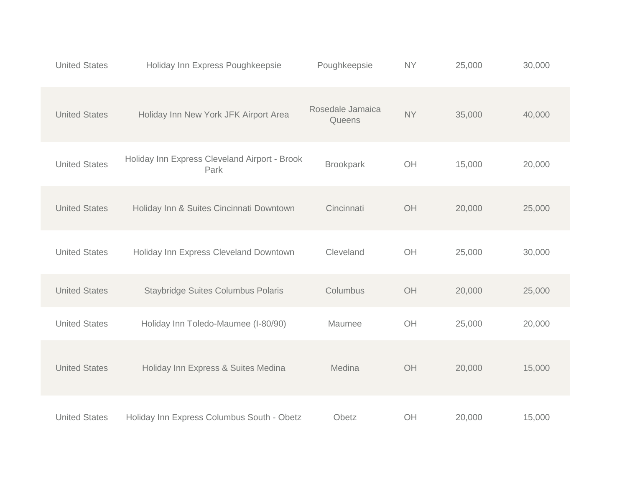| <b>United States</b> | Holiday Inn Express Poughkeepsie                      | Poughkeepsie               | <b>NY</b>      | 25,000 | 30,000 |  |
|----------------------|-------------------------------------------------------|----------------------------|----------------|--------|--------|--|
| <b>United States</b> | Holiday Inn New York JFK Airport Area                 | Rosedale Jamaica<br>Queens | <b>NY</b>      | 35,000 | 40,000 |  |
| <b>United States</b> | Holiday Inn Express Cleveland Airport - Brook<br>Park | <b>Brookpark</b>           | OH             | 15,000 | 20,000 |  |
| <b>United States</b> | Holiday Inn & Suites Cincinnati Downtown              | Cincinnati                 | OH             | 20,000 | 25,000 |  |
| <b>United States</b> | Holiday Inn Express Cleveland Downtown                | Cleveland                  | OH             | 25,000 | 30,000 |  |
| <b>United States</b> | <b>Staybridge Suites Columbus Polaris</b>             | Columbus                   | OH             | 20,000 | 25,000 |  |
| <b>United States</b> | Holiday Inn Toledo-Maumee (I-80/90)                   | Maumee                     | OH             | 25,000 | 20,000 |  |
| <b>United States</b> | Holiday Inn Express & Suites Medina                   | Medina                     | OH             | 20,000 | 15,000 |  |
| <b>United States</b> | Holiday Inn Express Columbus South - Obetz            | Obetz                      | O <sub>H</sub> | 20,000 | 15,000 |  |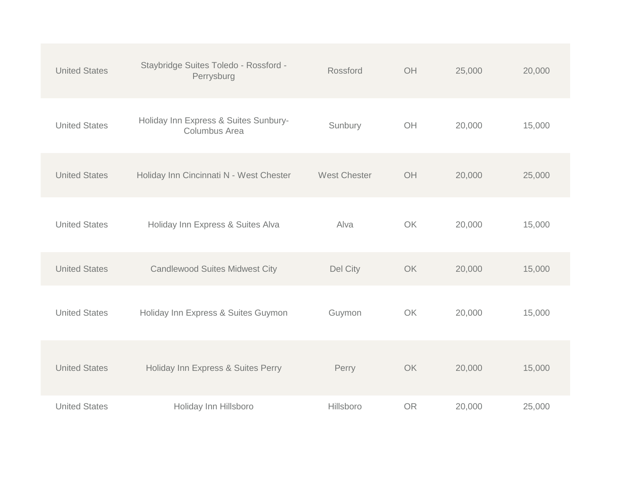| <b>United States</b> | Staybridge Suites Toledo - Rossford -<br>Perrysburg    | Rossford            | OH        | 25,000 | 20,000 |
|----------------------|--------------------------------------------------------|---------------------|-----------|--------|--------|
| <b>United States</b> | Holiday Inn Express & Suites Sunbury-<br>Columbus Area | Sunbury             | OH        | 20,000 | 15,000 |
| <b>United States</b> | Holiday Inn Cincinnati N - West Chester                | <b>West Chester</b> | OH        | 20,000 | 25,000 |
| <b>United States</b> | Holiday Inn Express & Suites Alva                      | Alva                | OK        | 20,000 | 15,000 |
| <b>United States</b> | <b>Candlewood Suites Midwest City</b>                  | Del City            | <b>OK</b> | 20,000 | 15,000 |
| <b>United States</b> | Holiday Inn Express & Suites Guymon                    | Guymon              | OK        | 20,000 | 15,000 |
| <b>United States</b> | Holiday Inn Express & Suites Perry                     | Perry               | OK        | 20,000 | 15,000 |
| <b>United States</b> | Holiday Inn Hillsboro                                  | Hillsboro           | <b>OR</b> | 20,000 | 25,000 |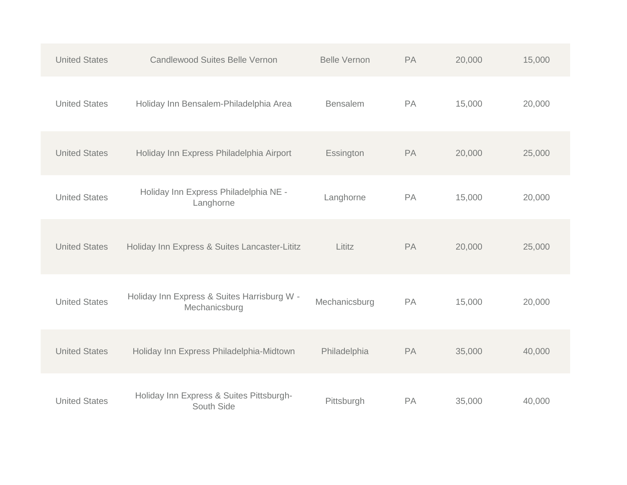| <b>United States</b> | <b>Candlewood Suites Belle Vernon</b>                        | <b>Belle Vernon</b> | PA | 20,000 | 15,000 |
|----------------------|--------------------------------------------------------------|---------------------|----|--------|--------|
| <b>United States</b> | Holiday Inn Bensalem-Philadelphia Area                       | <b>Bensalem</b>     | PA | 15,000 | 20,000 |
| <b>United States</b> | Holiday Inn Express Philadelphia Airport                     | Essington           | PA | 20,000 | 25,000 |
| <b>United States</b> | Holiday Inn Express Philadelphia NE -<br>Langhorne           | Langhorne           | PA | 15,000 | 20,000 |
| <b>United States</b> | Holiday Inn Express & Suites Lancaster-Lititz                | Lititz              | PA | 20,000 | 25,000 |
| <b>United States</b> | Holiday Inn Express & Suites Harrisburg W -<br>Mechanicsburg | Mechanicsburg       | PA | 15,000 | 20,000 |
| <b>United States</b> | Holiday Inn Express Philadelphia-Midtown                     | Philadelphia        | PA | 35,000 | 40,000 |
| <b>United States</b> | Holiday Inn Express & Suites Pittsburgh-<br>South Side       | Pittsburgh          | PA | 35,000 | 40,000 |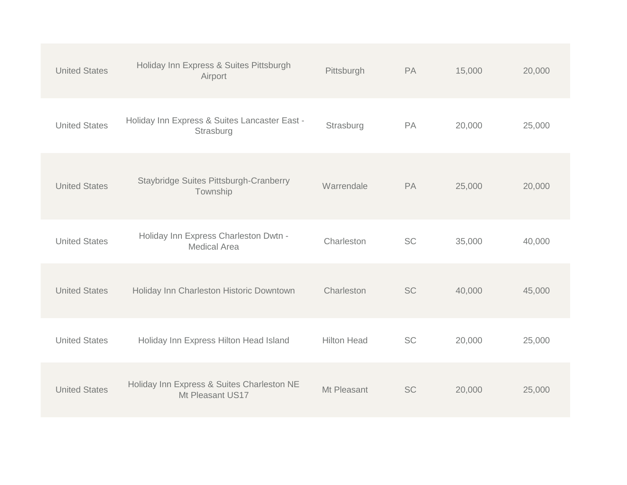| <b>United States</b> | Holiday Inn Express & Suites Pittsburgh<br>Airport             | Pittsburgh         | PA        | 15,000 | 20,000 |
|----------------------|----------------------------------------------------------------|--------------------|-----------|--------|--------|
| <b>United States</b> | Holiday Inn Express & Suites Lancaster East -<br>Strasburg     | Strasburg          | PA        | 20,000 | 25,000 |
| <b>United States</b> | <b>Staybridge Suites Pittsburgh-Cranberry</b><br>Township      | Warrendale         | PA        | 25,000 | 20,000 |
| <b>United States</b> | Holiday Inn Express Charleston Dwtn -<br><b>Medical Area</b>   | Charleston         | <b>SC</b> | 35,000 | 40,000 |
| <b>United States</b> | Holiday Inn Charleston Historic Downtown                       | Charleston         | <b>SC</b> | 40,000 | 45,000 |
| <b>United States</b> | Holiday Inn Express Hilton Head Island                         | <b>Hilton Head</b> | <b>SC</b> | 20,000 | 25,000 |
| <b>United States</b> | Holiday Inn Express & Suites Charleston NE<br>Mt Pleasant US17 | Mt Pleasant        | <b>SC</b> | 20,000 | 25,000 |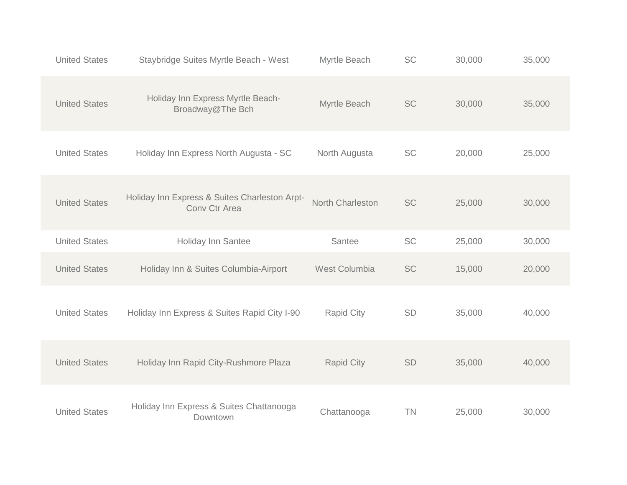| <b>United States</b> | Staybridge Suites Myrtle Beach - West                          | Myrtle Beach      | <b>SC</b> | 30,000 | 35,000 |
|----------------------|----------------------------------------------------------------|-------------------|-----------|--------|--------|
| <b>United States</b> | Holiday Inn Express Myrtle Beach-<br>Broadway@The Bch          | Myrtle Beach      | SC        | 30,000 | 35,000 |
| <b>United States</b> | Holiday Inn Express North Augusta - SC                         | North Augusta     | SC        | 20,000 | 25,000 |
| <b>United States</b> | Holiday Inn Express & Suites Charleston Arpt-<br>Conv Ctr Area | North Charleston  | <b>SC</b> | 25,000 | 30,000 |
| <b>United States</b> | Holiday Inn Santee                                             | Santee            | SC        | 25,000 | 30,000 |
| <b>United States</b> | Holiday Inn & Suites Columbia-Airport                          | West Columbia     | SC        | 15,000 | 20,000 |
| <b>United States</b> | Holiday Inn Express & Suites Rapid City I-90                   | <b>Rapid City</b> | SD        | 35,000 | 40,000 |
| <b>United States</b> | Holiday Inn Rapid City-Rushmore Plaza                          | <b>Rapid City</b> | SD        | 35,000 | 40,000 |
| <b>United States</b> | Holiday Inn Express & Suites Chattanooga<br>Downtown           | Chattanooga       | <b>TN</b> | 25,000 | 30,000 |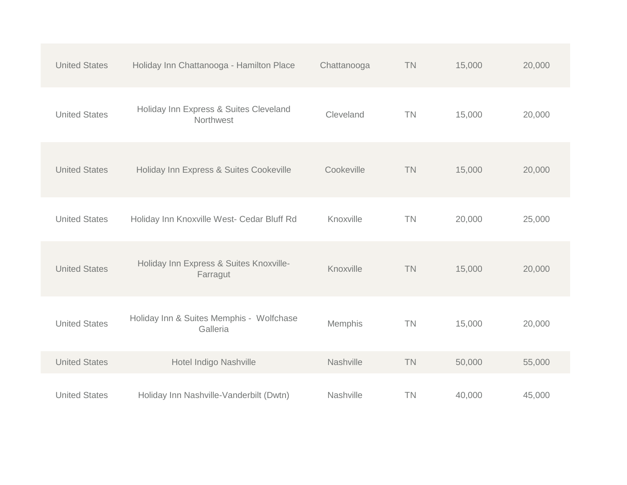| <b>United States</b> | Holiday Inn Chattanooga - Hamilton Place             | Chattanooga | <b>TN</b> | 15,000 | 20,000 |
|----------------------|------------------------------------------------------|-------------|-----------|--------|--------|
| <b>United States</b> | Holiday Inn Express & Suites Cleveland<br>Northwest  | Cleveland   | <b>TN</b> | 15,000 | 20,000 |
| <b>United States</b> | Holiday Inn Express & Suites Cookeville              | Cookeville  | <b>TN</b> | 15,000 | 20,000 |
| <b>United States</b> | Holiday Inn Knoxville West- Cedar Bluff Rd           | Knoxville   | <b>TN</b> | 20,000 | 25,000 |
| <b>United States</b> | Holiday Inn Express & Suites Knoxville-<br>Farragut  | Knoxville   | <b>TN</b> | 15,000 | 20,000 |
| <b>United States</b> | Holiday Inn & Suites Memphis - Wolfchase<br>Galleria | Memphis     | <b>TN</b> | 15,000 | 20,000 |
| <b>United States</b> | Hotel Indigo Nashville                               | Nashville   | <b>TN</b> | 50,000 | 55,000 |
| <b>United States</b> | Holiday Inn Nashville-Vanderbilt (Dwtn)              | Nashville   | <b>TN</b> | 40,000 | 45,000 |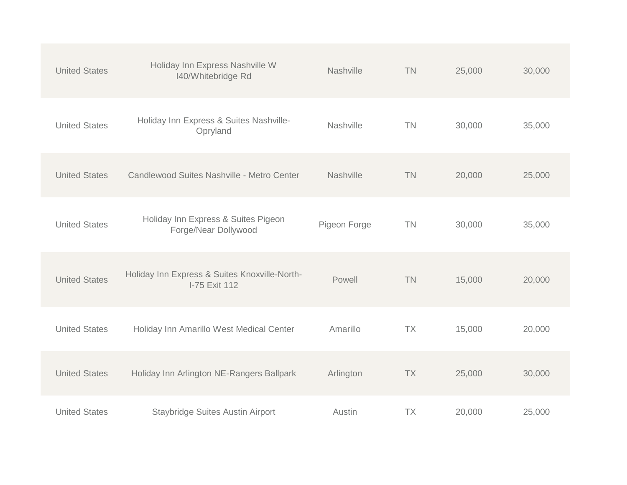| <b>United States</b> | Holiday Inn Express Nashville W<br>140/Whitebridge Rd          | Nashville    | <b>TN</b> | 25,000 | 30,000 |
|----------------------|----------------------------------------------------------------|--------------|-----------|--------|--------|
| <b>United States</b> | Holiday Inn Express & Suites Nashville-<br>Opryland            | Nashville    | <b>TN</b> | 30,000 | 35,000 |
| <b>United States</b> | Candlewood Suites Nashville - Metro Center                     | Nashville    | <b>TN</b> | 20,000 | 25,000 |
| <b>United States</b> | Holiday Inn Express & Suites Pigeon<br>Forge/Near Dollywood    | Pigeon Forge | <b>TN</b> | 30,000 | 35,000 |
| <b>United States</b> | Holiday Inn Express & Suites Knoxville-North-<br>I-75 Exit 112 | Powell       | <b>TN</b> | 15,000 | 20,000 |
| <b>United States</b> | Holiday Inn Amarillo West Medical Center                       | Amarillo     | <b>TX</b> | 15,000 | 20,000 |
| <b>United States</b> | Holiday Inn Arlington NE-Rangers Ballpark                      | Arlington    | <b>TX</b> | 25,000 | 30,000 |
| <b>United States</b> | <b>Staybridge Suites Austin Airport</b>                        | Austin       | <b>TX</b> | 20,000 | 25,000 |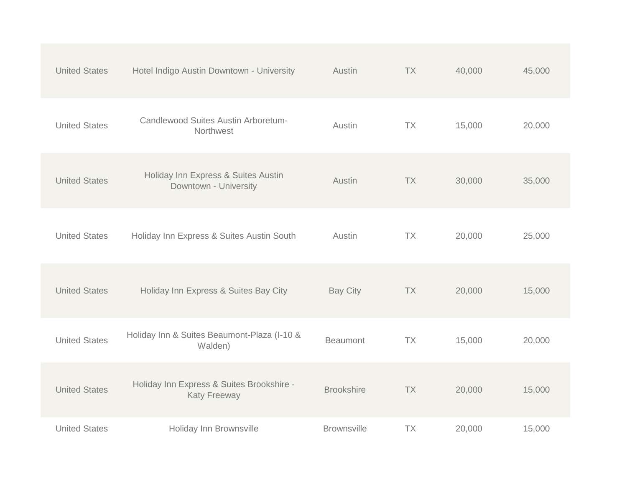| <b>United States</b> | Hotel Indigo Austin Downtown - University                        | Austin             | <b>TX</b> | 40,000 | 45,000 |
|----------------------|------------------------------------------------------------------|--------------------|-----------|--------|--------|
| <b>United States</b> | Candlewood Suites Austin Arboretum-<br>Northwest                 | Austin             | <b>TX</b> | 15,000 | 20,000 |
| <b>United States</b> | Holiday Inn Express & Suites Austin<br>Downtown - University     | Austin             | <b>TX</b> | 30,000 | 35,000 |
| <b>United States</b> | Holiday Inn Express & Suites Austin South                        | Austin             | TX        | 20,000 | 25,000 |
| <b>United States</b> | Holiday Inn Express & Suites Bay City                            | <b>Bay City</b>    | <b>TX</b> | 20,000 | 15,000 |
| <b>United States</b> | Holiday Inn & Suites Beaumont-Plaza (I-10 &<br>Walden)           | <b>Beaumont</b>    | TX        | 15,000 | 20,000 |
| <b>United States</b> | Holiday Inn Express & Suites Brookshire -<br><b>Katy Freeway</b> | <b>Brookshire</b>  | <b>TX</b> | 20,000 | 15,000 |
| <b>United States</b> | Holiday Inn Brownsville                                          | <b>Brownsville</b> | <b>TX</b> | 20,000 | 15,000 |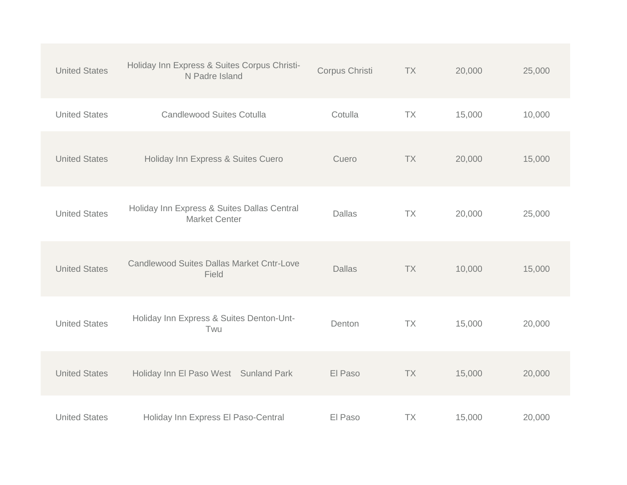| <b>United States</b> | Holiday Inn Express & Suites Corpus Christi-<br>N Padre Island      | Corpus Christi | <b>TX</b> | 20,000 | 25,000 |
|----------------------|---------------------------------------------------------------------|----------------|-----------|--------|--------|
| <b>United States</b> | <b>Candlewood Suites Cotulla</b>                                    | Cotulla        | <b>TX</b> | 15,000 | 10,000 |
| <b>United States</b> | Holiday Inn Express & Suites Cuero                                  | Cuero          | <b>TX</b> | 20,000 | 15,000 |
| <b>United States</b> | Holiday Inn Express & Suites Dallas Central<br><b>Market Center</b> | <b>Dallas</b>  | TX        | 20,000 | 25,000 |
| <b>United States</b> | <b>Candlewood Suites Dallas Market Cntr-Love</b><br>Field           | <b>Dallas</b>  | <b>TX</b> | 10,000 | 15,000 |
| <b>United States</b> | Holiday Inn Express & Suites Denton-Unt-<br>Twu                     | Denton         | <b>TX</b> | 15,000 | 20,000 |
| <b>United States</b> | Holiday Inn El Paso West Sunland Park                               | El Paso        | <b>TX</b> | 15,000 | 20,000 |
| <b>United States</b> | Holiday Inn Express El Paso-Central                                 | El Paso        | <b>TX</b> | 15,000 | 20,000 |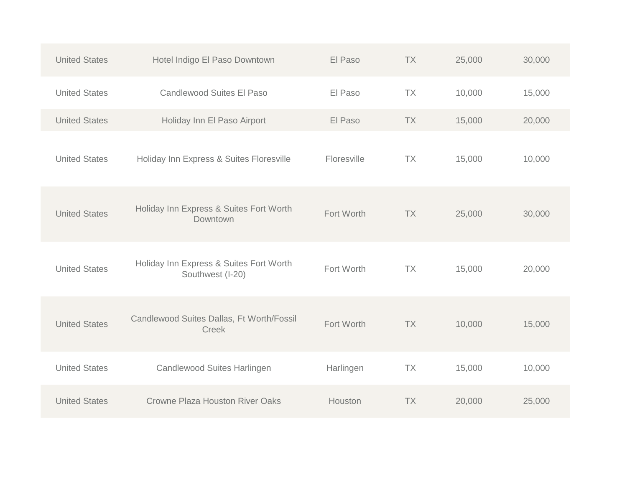| <b>United States</b> | Hotel Indigo El Paso Downtown                               | El Paso     | <b>TX</b> | 25,000 | 30,000 |
|----------------------|-------------------------------------------------------------|-------------|-----------|--------|--------|
| <b>United States</b> | <b>Candlewood Suites El Paso</b>                            | El Paso     | <b>TX</b> | 10,000 | 15,000 |
| <b>United States</b> | Holiday Inn El Paso Airport                                 | El Paso     | <b>TX</b> | 15,000 | 20,000 |
| <b>United States</b> | Holiday Inn Express & Suites Floresville                    | Floresville | <b>TX</b> | 15,000 | 10,000 |
| <b>United States</b> | Holiday Inn Express & Suites Fort Worth<br>Downtown         | Fort Worth  | <b>TX</b> | 25,000 | 30,000 |
| <b>United States</b> | Holiday Inn Express & Suites Fort Worth<br>Southwest (I-20) | Fort Worth  | <b>TX</b> | 15,000 | 20,000 |
| <b>United States</b> | Candlewood Suites Dallas, Ft Worth/Fossil<br><b>Creek</b>   | Fort Worth  | <b>TX</b> | 10,000 | 15,000 |
| <b>United States</b> | Candlewood Suites Harlingen                                 | Harlingen   | <b>TX</b> | 15,000 | 10,000 |
| <b>United States</b> | <b>Crowne Plaza Houston River Oaks</b>                      | Houston     | <b>TX</b> | 20,000 | 25,000 |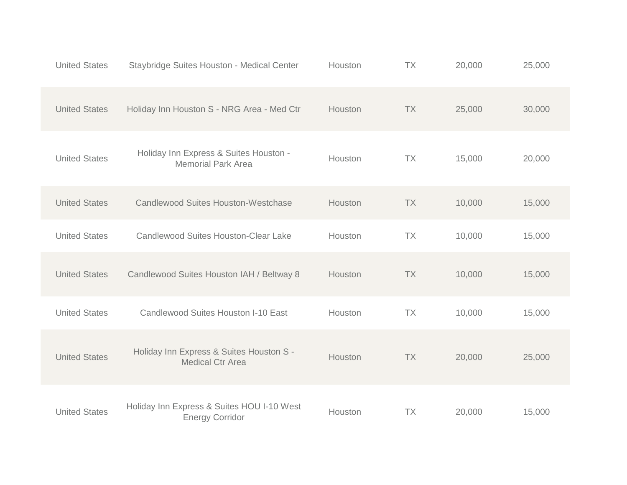| <b>United States</b> | Staybridge Suites Houston - Medical Center                           | Houston | <b>TX</b> | 20,000 | 25,000 |
|----------------------|----------------------------------------------------------------------|---------|-----------|--------|--------|
| <b>United States</b> | Holiday Inn Houston S - NRG Area - Med Ctr                           | Houston | <b>TX</b> | 25,000 | 30,000 |
| <b>United States</b> | Holiday Inn Express & Suites Houston -<br><b>Memorial Park Area</b>  | Houston | <b>TX</b> | 15,000 | 20,000 |
| <b>United States</b> | <b>Candlewood Suites Houston-Westchase</b>                           | Houston | <b>TX</b> | 10,000 | 15,000 |
| <b>United States</b> | <b>Candlewood Suites Houston-Clear Lake</b>                          | Houston | <b>TX</b> | 10,000 | 15,000 |
| <b>United States</b> | Candlewood Suites Houston IAH / Beltway 8                            | Houston | <b>TX</b> | 10,000 | 15,000 |
| <b>United States</b> | Candlewood Suites Houston I-10 East                                  | Houston | <b>TX</b> | 10,000 | 15,000 |
| <b>United States</b> | Holiday Inn Express & Suites Houston S -<br><b>Medical Ctr Area</b>  | Houston | <b>TX</b> | 20,000 | 25,000 |
| <b>United States</b> | Holiday Inn Express & Suites HOU I-10 West<br><b>Energy Corridor</b> | Houston | TX        | 20,000 | 15,000 |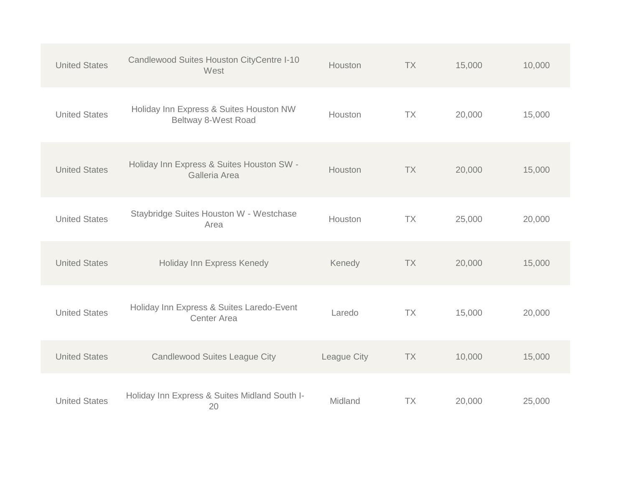| <b>United States</b> | Candlewood Suites Houston CityCentre I-10<br>West               | Houston     | <b>TX</b> | 15,000 | 10,000 |
|----------------------|-----------------------------------------------------------------|-------------|-----------|--------|--------|
| <b>United States</b> | Holiday Inn Express & Suites Houston NW<br>Beltway 8-West Road  | Houston     | <b>TX</b> | 20,000 | 15,000 |
| <b>United States</b> | Holiday Inn Express & Suites Houston SW -<br>Galleria Area      | Houston     | <b>TX</b> | 20,000 | 15,000 |
| <b>United States</b> | Staybridge Suites Houston W - Westchase<br>Area                 | Houston     | <b>TX</b> | 25,000 | 20,000 |
| <b>United States</b> | Holiday Inn Express Kenedy                                      | Kenedy      | <b>TX</b> | 20,000 | 15,000 |
| <b>United States</b> | Holiday Inn Express & Suites Laredo-Event<br><b>Center Area</b> | Laredo      | <b>TX</b> | 15,000 | 20,000 |
| <b>United States</b> | <b>Candlewood Suites League City</b>                            | League City | <b>TX</b> | 10,000 | 15,000 |
| <b>United States</b> | Holiday Inn Express & Suites Midland South I-<br>20             | Midland     | <b>TX</b> | 20,000 | 25,000 |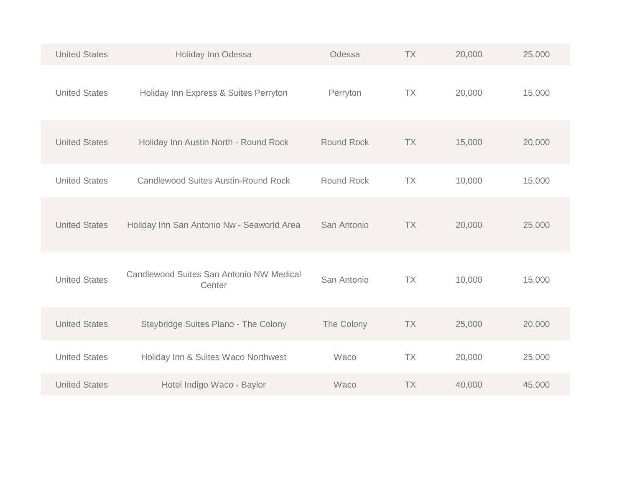| <b>United States</b> | Holiday Inn Odessa                                 | Odessa            | <b>TX</b> | 20,000 | 25,000 |
|----------------------|----------------------------------------------------|-------------------|-----------|--------|--------|
| <b>United States</b> | Holiday Inn Express & Suites Perryton              | Perryton          | <b>TX</b> | 20,000 | 15,000 |
| <b>United States</b> | Holiday Inn Austin North - Round Rock              | <b>Round Rock</b> | <b>TX</b> | 15,000 | 20,000 |
| <b>United States</b> | <b>Candlewood Suites Austin-Round Rock</b>         | <b>Round Rock</b> | <b>TX</b> | 10,000 | 15,000 |
| <b>United States</b> | Holiday Inn San Antonio Nw - Seaworld Area         | San Antonio       | <b>TX</b> | 20,000 | 25,000 |
| <b>United States</b> | Candlewood Suites San Antonio NW Medical<br>Center | San Antonio       | <b>TX</b> | 10,000 | 15,000 |
| <b>United States</b> | Staybridge Suites Plano - The Colony               | The Colony        | <b>TX</b> | 25,000 | 20,000 |
| <b>United States</b> | Holiday Inn & Suites Waco Northwest                | Waco              | <b>TX</b> | 20,000 | 25,000 |
| <b>United States</b> | Hotel Indigo Waco - Baylor                         | Waco              | <b>TX</b> | 40,000 | 45,000 |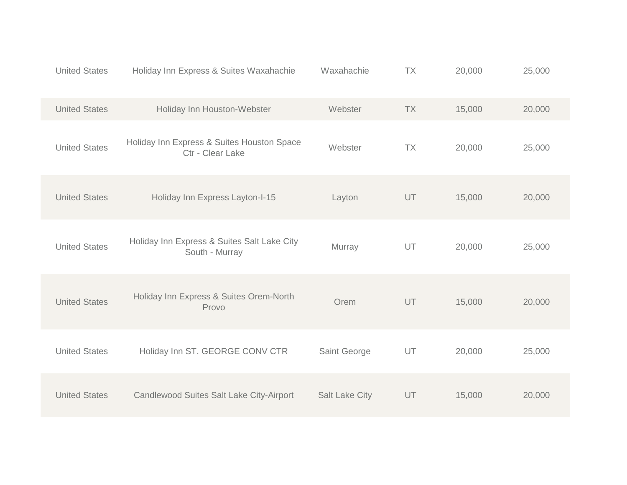| <b>United States</b> | Holiday Inn Express & Suites Waxahachie                        | Waxahachie            | <b>TX</b> | 20,000 | 25,000 |
|----------------------|----------------------------------------------------------------|-----------------------|-----------|--------|--------|
| <b>United States</b> | Holiday Inn Houston-Webster                                    | Webster               | <b>TX</b> | 15,000 | 20,000 |
| <b>United States</b> | Holiday Inn Express & Suites Houston Space<br>Ctr - Clear Lake | Webster               | <b>TX</b> | 20,000 | 25,000 |
| <b>United States</b> | Holiday Inn Express Layton-I-15                                | Layton                | UT        | 15,000 | 20,000 |
| <b>United States</b> | Holiday Inn Express & Suites Salt Lake City<br>South - Murray  | Murray                | UT        | 20,000 | 25,000 |
| <b>United States</b> | Holiday Inn Express & Suites Orem-North<br>Provo               | Orem                  | UT        | 15,000 | 20,000 |
| <b>United States</b> | Holiday Inn ST. GEORGE CONV CTR                                | Saint George          | UT        | 20,000 | 25,000 |
| <b>United States</b> | Candlewood Suites Salt Lake City-Airport                       | <b>Salt Lake City</b> | UT        | 15,000 | 20,000 |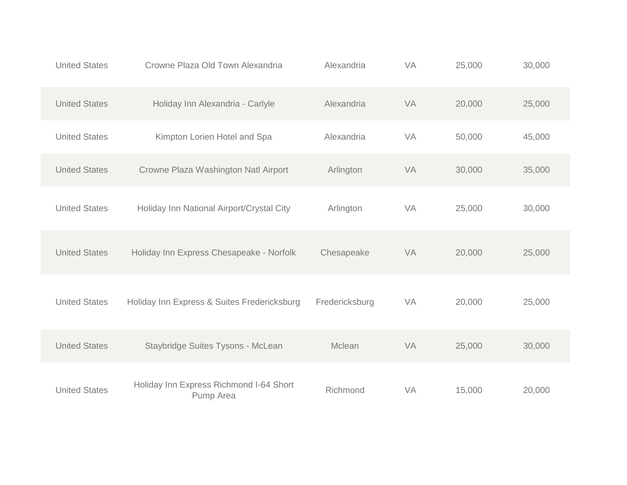| <b>United States</b> | Crowne Plaza Old Town Alexandria                     | Alexandria     | VA | 25,000 | 30,000 |
|----------------------|------------------------------------------------------|----------------|----|--------|--------|
| <b>United States</b> | Holiday Inn Alexandria - Carlyle                     | Alexandria     | VA | 20,000 | 25,000 |
| <b>United States</b> | Kimpton Lorien Hotel and Spa                         | Alexandria     | VA | 50,000 | 45,000 |
| <b>United States</b> | Crowne Plaza Washington Natl Airport                 | Arlington      | VA | 30,000 | 35,000 |
| <b>United States</b> | Holiday Inn National Airport/Crystal City            | Arlington      | VA | 25,000 | 30,000 |
| <b>United States</b> | Holiday Inn Express Chesapeake - Norfolk             | Chesapeake     | VA | 20,000 | 25,000 |
| <b>United States</b> | Holiday Inn Express & Suites Fredericksburg          | Fredericksburg | VA | 20,000 | 25,000 |
| <b>United States</b> | Staybridge Suites Tysons - McLean                    | Mclean         | VA | 25,000 | 30,000 |
| <b>United States</b> | Holiday Inn Express Richmond I-64 Short<br>Pump Area | Richmond       | VA | 15,000 | 20,000 |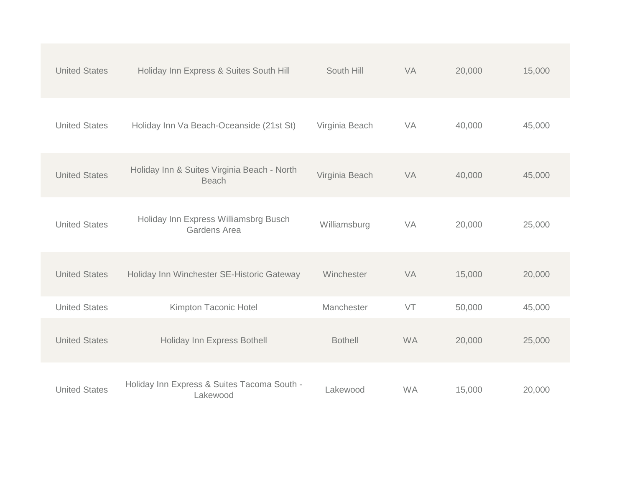| <b>United States</b> | Holiday Inn Express & Suites South Hill                     | South Hill     | VA        | 20,000 | 15,000 |
|----------------------|-------------------------------------------------------------|----------------|-----------|--------|--------|
| <b>United States</b> | Holiday Inn Va Beach-Oceanside (21st St)                    | Virginia Beach | VA        | 40,000 | 45,000 |
| <b>United States</b> | Holiday Inn & Suites Virginia Beach - North<br><b>Beach</b> | Virginia Beach | VA        | 40,000 | 45,000 |
| <b>United States</b> | Holiday Inn Express Williamsbrg Busch<br>Gardens Area       | Williamsburg   | VA        | 20,000 | 25,000 |
| <b>United States</b> | Holiday Inn Winchester SE-Historic Gateway                  | Winchester     | VA        | 15,000 | 20,000 |
| <b>United States</b> | Kimpton Taconic Hotel                                       | Manchester     | VT        | 50,000 | 45,000 |
| <b>United States</b> | Holiday Inn Express Bothell                                 | <b>Bothell</b> | <b>WA</b> | 20,000 | 25,000 |
| <b>United States</b> | Holiday Inn Express & Suites Tacoma South -<br>Lakewood     | Lakewood       | <b>WA</b> | 15,000 | 20,000 |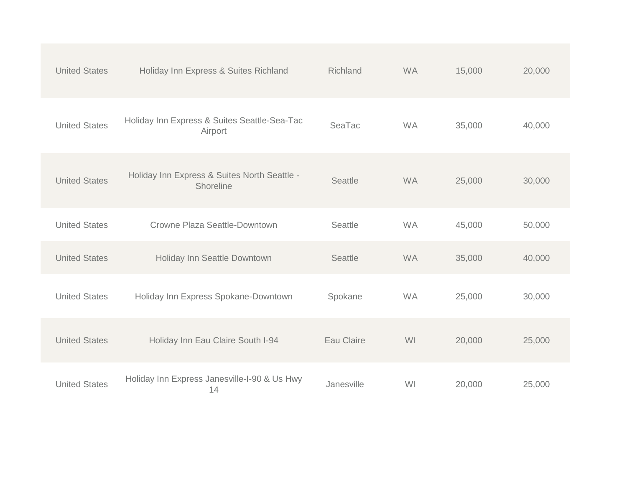| <b>United States</b> | Holiday Inn Express & Suites Richland                     | Richland       | <b>WA</b> | 15,000 | 20,000 |
|----------------------|-----------------------------------------------------------|----------------|-----------|--------|--------|
| <b>United States</b> | Holiday Inn Express & Suites Seattle-Sea-Tac<br>Airport   | SeaTac         | <b>WA</b> | 35,000 | 40,000 |
| <b>United States</b> | Holiday Inn Express & Suites North Seattle -<br>Shoreline | Seattle        | <b>WA</b> | 25,000 | 30,000 |
| <b>United States</b> | Crowne Plaza Seattle-Downtown                             | Seattle        | <b>WA</b> | 45,000 | 50,000 |
| <b>United States</b> | Holiday Inn Seattle Downtown                              | <b>Seattle</b> | <b>WA</b> | 35,000 | 40,000 |
| <b>United States</b> | Holiday Inn Express Spokane-Downtown                      | Spokane        | <b>WA</b> | 25,000 | 30,000 |
| <b>United States</b> | Holiday Inn Eau Claire South I-94                         | Eau Claire     | WI        | 20,000 | 25,000 |
| <b>United States</b> | Holiday Inn Express Janesville-I-90 & Us Hwy<br>14        | Janesville     | WI        | 20,000 | 25,000 |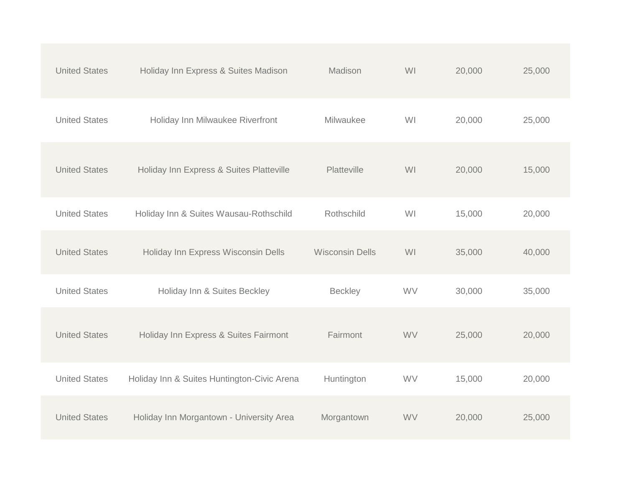| <b>United States</b> | Holiday Inn Express & Suites Madison        | Madison                | WI        | 20,000 | 25,000 |
|----------------------|---------------------------------------------|------------------------|-----------|--------|--------|
| <b>United States</b> | Holiday Inn Milwaukee Riverfront            | Milwaukee              | WI        | 20,000 | 25,000 |
| <b>United States</b> | Holiday Inn Express & Suites Platteville    | Platteville            | WI        | 20,000 | 15,000 |
| <b>United States</b> | Holiday Inn & Suites Wausau-Rothschild      | Rothschild             | WI        | 15,000 | 20,000 |
| <b>United States</b> | Holiday Inn Express Wisconsin Dells         | <b>Wisconsin Dells</b> | WI        | 35,000 | 40,000 |
| <b>United States</b> | Holiday Inn & Suites Beckley                | <b>Beckley</b>         | WV        | 30,000 | 35,000 |
| <b>United States</b> | Holiday Inn Express & Suites Fairmont       | Fairmont               | <b>WV</b> | 25,000 | 20,000 |
| <b>United States</b> | Holiday Inn & Suites Huntington-Civic Arena | Huntington             | WV        | 15,000 | 20,000 |
| <b>United States</b> | Holiday Inn Morgantown - University Area    | Morgantown             | WV        | 20,000 | 25,000 |